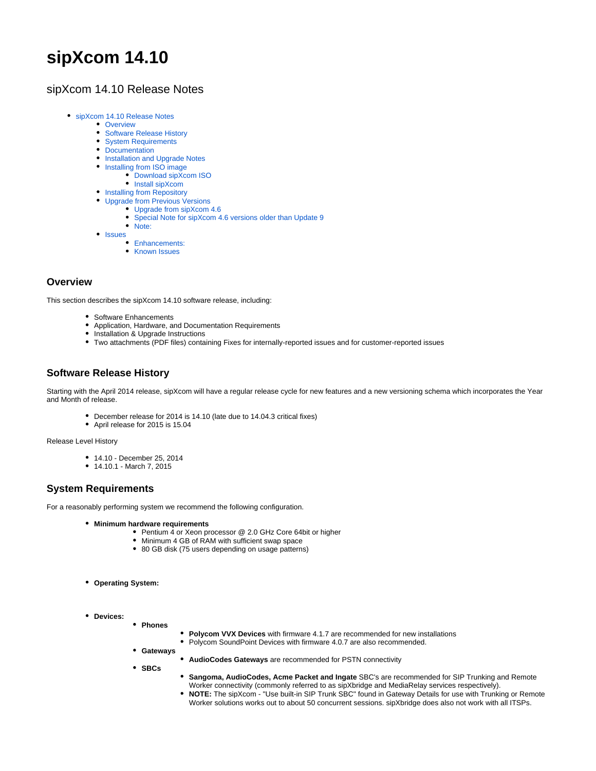# **sipXcom 14.10**

# <span id="page-0-0"></span>sipXcom 14.10 Release Notes

- [sipXcom 14.10 Release Notes](#page-0-0)
	- [Overview](#page-0-1)
	- [Software Release History](#page-0-2)
	- [System Requirements](#page-0-3)
	- [Documentation](#page-0-4)
	- [Installation and Upgrade Notes](#page-1-0)
	- [Installing from ISO image](#page-1-1)
		- [Download sipXcom ISO](#page-1-2)
		- [Install sipXcom](#page-1-3)
	- [Installing from Repository](#page-1-4)
		- [Upgrade from Previous Versions](#page-2-0)
			- [Upgrade from sipXcom 4.6](#page-2-1)
			- $\bullet$ [Special Note for sipXcom 4.6 versions older than Update 9](#page-2-2)
	- $\bullet$ [Note:](#page-3-0)
	- [Issues](#page-3-1)
		- [Enhancements:](#page-3-2)
		- **[Known Issues](#page-19-0)**

# <span id="page-0-1"></span>**Overview**

This section describes the sipXcom 14.10 software release, including:

- Software Enhancements
- Application, Hardware, and Documentation Requirements
- Installation & Upgrade Instructions
- Two attachments (PDF files) containing Fixes for internally-reported issues and for customer-reported issues

# <span id="page-0-2"></span>**Software Release History**

Starting with the April 2014 release, sipXcom will have a regular release cycle for new features and a new versioning schema which incorporates the Year and Month of release.

- December release for 2014 is 14.10 (late due to 14.04.3 critical fixes)
- April release for 2015 is 15.04

Release Level History

- 14.10 December 25, 2014
- 14.10.1 March 7, 2015

# <span id="page-0-3"></span>**System Requirements**

For a reasonably performing system we recommend the following configuration.

- **Minimum hardware requirements**
	- Pentium 4 or Xeon processor @ 2.0 GHz Core 64bit or higher
	- Minimum 4 GB of RAM with sufficient swap space
	- 80 GB disk (75 users depending on usage patterns)
- **Operating System:**
- <span id="page-0-4"></span>**Devices:**
	- **Phones**
		- **Polycom VVX Devices** with firmware 4.1.7 are recommended for new installations • Polycom SoundPoint Devices with firmware 4.0.7 are also recommended.
		- **Gateways**
			- **AudioCodes Gateways** are recommended for PSTN connectivity
	- **SBCs**
		- $\bullet$ **Sangoma, AudioCodes, Acme Packet and Ingate** SBC's are recommended for SIP Trunking and Remote Worker connectivity (commonly referred to as sipXbridge and MediaRelay services respectively).
		- **NOTE:** The sipXcom "Use built-in SIP Trunk SBC" found in Gateway Details for use with Trunking or Remote Worker solutions works out to about 50 concurrent sessions. sipXbridge does also not work with all ITSPs.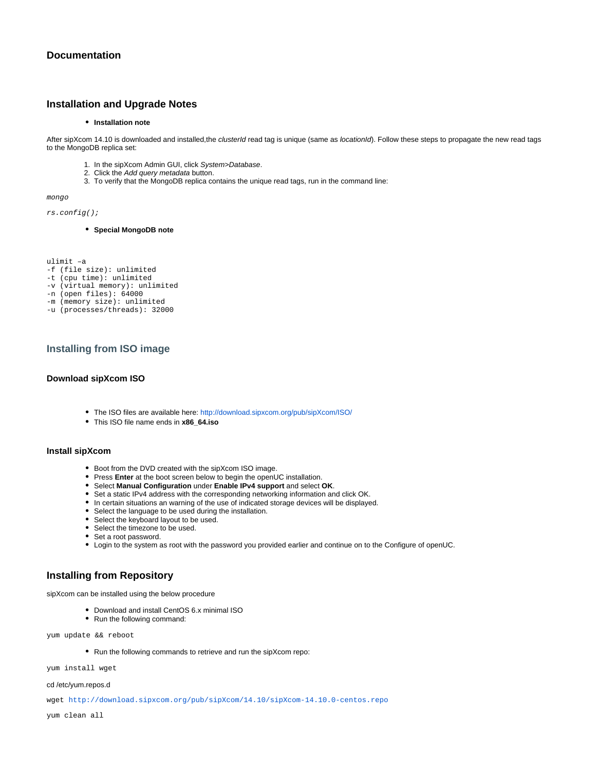## <span id="page-1-0"></span>**Installation and Upgrade Notes**

#### **•** Installation note

After sipXcom 14.10 is downloaded and installed,the clusterId read tag is unique (same as locationId). Follow these steps to propagate the new read tags to the MongoDB replica set:

- 1. In the sipXcom Admin GUI, click System>Database.
- 2. Click the Add query metadata button.
- 3. To verify that the MongoDB replica contains the unique read tags, run in the command line:

mongo

rs.config();

**Special MongoDB note**

ulimit –a -f (file size): unlimited -t (cpu time): unlimited -v (virtual memory): unlimited -n (open files): 64000 -m (memory size): unlimited -u (processes/threads): 32000

# <span id="page-1-1"></span>**Installing from ISO image**

#### <span id="page-1-2"></span>**Download sipXcom ISO**

- The ISO files are available here: [http://download.sipxcom.org/pub/sipXcom/ISO/](http://download.sipxcom.org/pub/sipXecs/ISO/)
- This ISO file name ends in **x86\_64.iso**

## <span id="page-1-3"></span>**Install sipXcom**

- Boot from the DVD created with the sipXcom ISO image.
- **•** Press Enter at the boot screen below to begin the openUC installation.
- Select **Manual Configuration** under **Enable IPv4 support** and select **OK**.
- Set a static IPv4 address with the corresponding networking information and click OK.
- In certain situations an warning of the use of indicated storage devices will be displayed.
- Select the language to be used during the installation.
- Select the keyboard layout to be used.
- Select the timezone to be used.
- Set a root password.
- Login to the system as root with the password you provided earlier and continue on to the Configure of openUC.

## <span id="page-1-4"></span>**Installing from Repository**

sipXcom can be installed using the below procedure

- Download and install CentOS 6.x minimal ISO
- Run the following command:

yum update && reboot

Run the following commands to retrieve and run the sipXcom repo:

yum install wget

#### cd /etc/yum.repos.d

wget [http://download.sipxcom.org/pub/sipXcom/14.10/sipXcom-14.10.0-centos.repo](http://download.sipxcom.org/pub/sipXecs/14.10/sipxecs-14.10.0-centos.repo)

yum clean all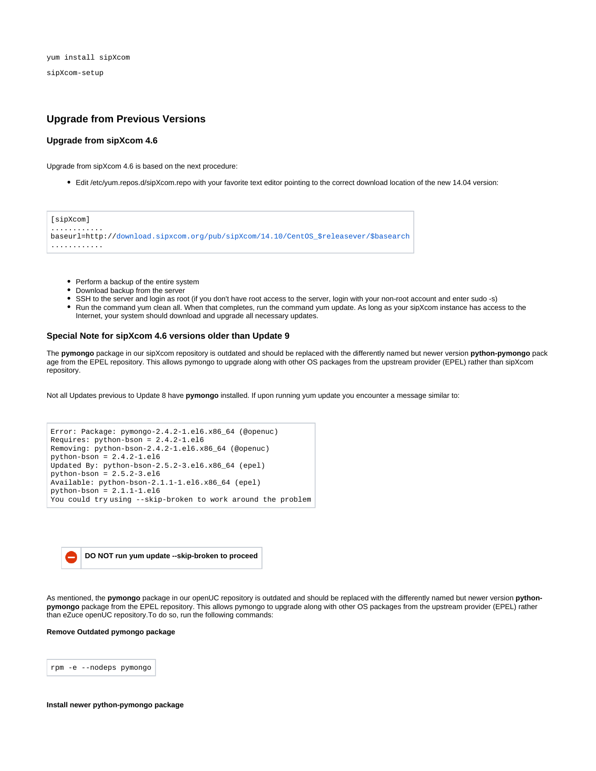sipXcom-setup

## <span id="page-2-0"></span>**Upgrade from Previous Versions**

#### <span id="page-2-1"></span>**Upgrade from sipXcom 4.6**

Upgrade from sipXcom 4.6 is based on the next procedure:

Edit /etc/yum.repos.d/sipXcom.repo with your favorite text editor pointing to the correct download location of the new 14.04 version:

| [sipXcom]                                                                            |  |
|--------------------------------------------------------------------------------------|--|
| baseurl=http://download.sipxcom.org/pub/sipXcom/14.10/CentOS \$releasever/\$basearch |  |
|                                                                                      |  |

- Perform a backup of the entire system
- Download backup from the server
- SSH to the server and login as root (if you don't have root access to the server, login with your non-root account and enter sudo -s)
- Run the command yum clean all. When that completes, run the command yum update. As long as your sipXcom instance has access to the Internet, your system should download and upgrade all necessary updates.

#### <span id="page-2-2"></span>**Special Note for sipXcom 4.6 versions older than Update 9**

The **pymongo** package in our sipXcom repository is outdated and should be replaced with the differently named but newer version **python-pymongo** pack age from the EPEL repository. This allows pymongo to upgrade along with other OS packages from the upstream provider (EPEL) rather than sipXcom repository.

Not all Updates previous to Update 8 have **pymongo** installed. If upon running yum update you encounter a message similar to:

```
Error: Package: pymongo-2.4.2-1.el6.x86_64 (@openuc)
Requires: python-bson = 2.4.2-1.el6
Removing: python-bson-2.4.2-1.el6.x86_64 (@openuc)
python-bson = 2.4.2-1.el6
Updated By: python-bson-2.5.2-3.el6.x86_64 (epel)
python-bson = 2.5.2-3.el6Available: python-bson-2.1.1-1.el6.x86_64 (epel)
python-bson = 2.1.1-1.el6You could try using --skip-broken to work around the problem
```


As mentioned, the **pymongo** package in our openUC repository is outdated and should be replaced with the differently named but newer version **pythonpymongo** package from the EPEL repository. This allows pymongo to upgrade along with other OS packages from the upstream provider (EPEL) rather than eZuce openUC repository.To do so, run the following commands:

**Remove Outdated pymongo package**

rpm -e --nodeps pymongo

#### **Install newer python-pymongo package**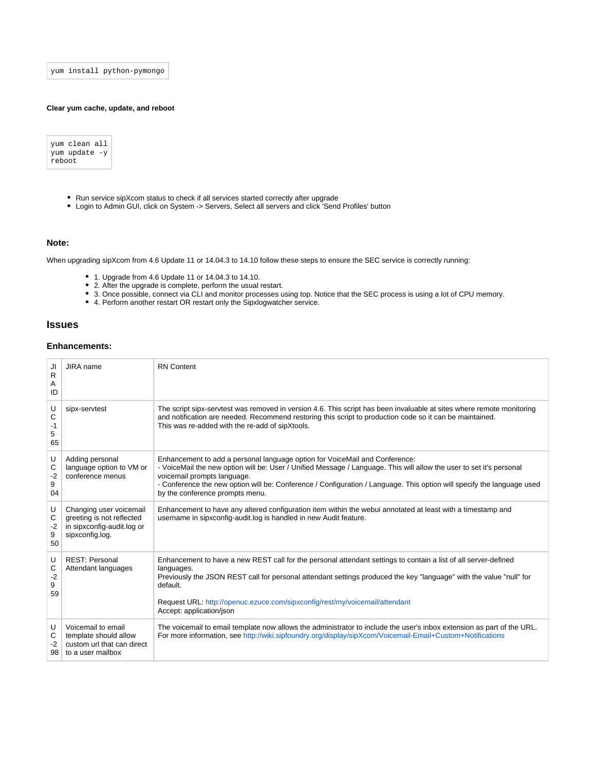yum install python-pymongo

#### **Clear yum cache, update, and reboot**

yum clean all yum update -y reboot

- Run service sipXcom status to check if all services started correctly after upgrade
- Login to Admin GUI, click on System -> Servers, Select all servers and click 'Send Profiles' button

## <span id="page-3-0"></span>**Note:**

When upgrading sipXcom from 4.6 Update 11 or 14.04.3 to 14.10 follow these steps to ensure the SEC service is correctly running:

- 1. Upgrade from 4.6 Update 11 or 14.04.3 to 14.10.
- 2. After the upgrade is complete, perform the usual restart.
- 3. Once possible, connect via CLI and monitor processes using top. Notice that the SEC process is using a lot of CPU memory.
- 4. Perform another restart OR restart only the Sipxlogwatcher service.

# <span id="page-3-1"></span>**Issues**

## <span id="page-3-2"></span>**Enhancements:**

| JI<br>R<br>Α<br>ID        | JIRA name                                                                                             | <b>RN</b> Content                                                                                                                                                                                                                                                                                                                                                                               |
|---------------------------|-------------------------------------------------------------------------------------------------------|-------------------------------------------------------------------------------------------------------------------------------------------------------------------------------------------------------------------------------------------------------------------------------------------------------------------------------------------------------------------------------------------------|
| U<br>C<br>-1<br>5<br>65   | sipx-servtest                                                                                         | The script sipx-servtest was removed in version 4.6. This script has been invaluable at sites where remote monitoring<br>and notification are needed. Recommend restoring this script to production code so it can be maintained.<br>This was re-added with the re-add of sipXtools.                                                                                                            |
| U<br>С<br>-2<br>9<br>04   | Adding personal<br>language option to VM or<br>conference menus                                       | Enhancement to add a personal language option for VoiceMail and Conference:<br>- VoiceMail the new option will be: User / Unified Message / Language. This will allow the user to set it's personal<br>voicemail prompts language.<br>- Conference the new option will be: Conference / Configuration / Language. This option will specify the language used<br>by the conference prompts menu. |
| U<br>С<br>-2<br>9<br>50   | Changing user voicemail<br>greeting is not reflected<br>in sipxconfig-audit.log or<br>sipxconfig.log. | Enhancement to have any altered configuration item within the webui annotated at least with a timestamp and<br>username in sipxconfig-audit.log is handled in new Audit feature.                                                                                                                                                                                                                |
| U<br>С<br>$-2$<br>9<br>59 | <b>REST: Personal</b><br>Attendant languages                                                          | Enhancement to have a new REST call for the personal attendant settings to contain a list of all server-defined<br>languages.<br>Previously the JSON REST call for personal attendant settings produced the key "language" with the value "null" for<br>default.<br>Request URL: http://openuc.ezuce.com/sipxconfig/rest/my/voicemail/attendant<br>Accept: application/json                     |
| U<br>С<br>$-2$<br>98      | Voicemail to email<br>template should allow<br>custom url that can direct<br>to a user mailbox        | The voicemail to email template now allows the administrator to include the user's inbox extension as part of the URL.<br>For more information, see http://wiki.sipfoundry.org/display/sipXcom/Voicemail-Email+Custom+Notifications                                                                                                                                                             |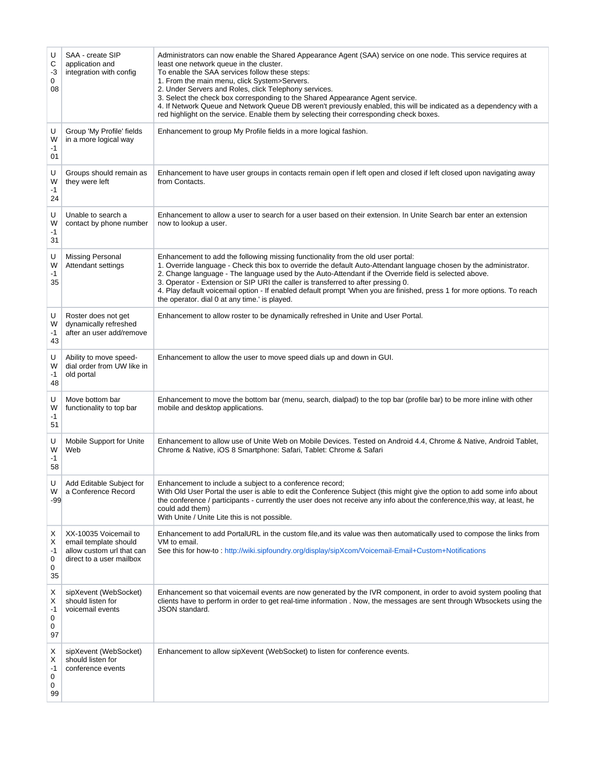| U<br>С<br>-3<br>0<br>08      | SAA - create SIP<br>application and<br>integration with config                                          | Administrators can now enable the Shared Appearance Agent (SAA) service on one node. This service requires at<br>least one network queue in the cluster.<br>To enable the SAA services follow these steps:<br>1. From the main menu, click System>Servers.<br>2. Under Servers and Roles, click Telephony services.<br>3. Select the check box corresponding to the Shared Appearance Agent service.<br>4. If Network Queue and Network Queue DB weren't previously enabled, this will be indicated as a dependency with a<br>red highlight on the service. Enable them by selecting their corresponding check boxes. |
|------------------------------|---------------------------------------------------------------------------------------------------------|-----------------------------------------------------------------------------------------------------------------------------------------------------------------------------------------------------------------------------------------------------------------------------------------------------------------------------------------------------------------------------------------------------------------------------------------------------------------------------------------------------------------------------------------------------------------------------------------------------------------------|
| U<br>W<br>-1<br>01           | Group 'My Profile' fields<br>in a more logical way                                                      | Enhancement to group My Profile fields in a more logical fashion.                                                                                                                                                                                                                                                                                                                                                                                                                                                                                                                                                     |
| U<br>W<br>-1<br>24           | Groups should remain as<br>they were left                                                               | Enhancement to have user groups in contacts remain open if left open and closed if left closed upon navigating away<br>from Contacts.                                                                                                                                                                                                                                                                                                                                                                                                                                                                                 |
| U<br>W<br>-1<br>31           | Unable to search a<br>contact by phone number                                                           | Enhancement to allow a user to search for a user based on their extension. In Unite Search bar enter an extension<br>now to lookup a user.                                                                                                                                                                                                                                                                                                                                                                                                                                                                            |
| U<br>W<br>$-1$<br>35         | <b>Missing Personal</b><br>Attendant settings                                                           | Enhancement to add the following missing functionality from the old user portal:<br>1. Override language - Check this box to override the default Auto-Attendant language chosen by the administrator.<br>2. Change language - The language used by the Auto-Attendant if the Override field is selected above.<br>3. Operator - Extension or SIP URI the caller is transferred to after pressing 0.<br>4. Play default voicemail option - If enabled default prompt 'When you are finished, press 1 for more options. To reach<br>the operator, dial 0 at any time, is played.                                       |
| U<br>W<br>-1<br>43           | Roster does not get<br>dynamically refreshed<br>after an user add/remove                                | Enhancement to allow roster to be dynamically refreshed in Unite and User Portal.                                                                                                                                                                                                                                                                                                                                                                                                                                                                                                                                     |
| U<br>W<br>-1<br>48           | Ability to move speed-<br>dial order from UW like in<br>old portal                                      | Enhancement to allow the user to move speed dials up and down in GUI.                                                                                                                                                                                                                                                                                                                                                                                                                                                                                                                                                 |
| U<br>W<br>-1<br>51           | Move bottom bar<br>functionality to top bar                                                             | Enhancement to move the bottom bar (menu, search, dialpad) to the top bar (profile bar) to be more inline with other<br>mobile and desktop applications.                                                                                                                                                                                                                                                                                                                                                                                                                                                              |
| U<br>W<br>-1<br>58           | Mobile Support for Unite<br>Web                                                                         | Enhancement to allow use of Unite Web on Mobile Devices. Tested on Android 4.4, Chrome & Native, Android Tablet,<br>Chrome & Native, iOS 8 Smartphone: Safari, Tablet: Chrome & Safari                                                                                                                                                                                                                                                                                                                                                                                                                                |
| W<br>$-99$                   | Add Editable Subject for<br>a Conference Record                                                         | Enhancement to include a subject to a conference record;<br>With Old User Portal the user is able to edit the Conference Subject (this might give the option to add some info about<br>the conference / participants - currently the user does not receive any info about the conference,this way, at least, he<br>could add them)<br>With Unite / Unite Lite this is not possible.                                                                                                                                                                                                                                   |
| Х<br>Х<br>-1<br>0<br>0<br>35 | XX-10035 Voicemail to<br>email template should<br>allow custom url that can<br>direct to a user mailbox | Enhancement to add PortalURL in the custom file, and its value was then automatically used to compose the links from<br>VM to email.<br>See this for how-to: http://wiki.sipfoundry.org/display/sipXcom/Voicemail-Email+Custom+Notifications                                                                                                                                                                                                                                                                                                                                                                          |
| х<br>х<br>-1<br>0<br>0<br>97 | sipXevent (WebSocket)<br>should listen for<br>voicemail events                                          | Enhancement so that voicemail events are now generated by the IVR component, in order to avoid system pooling that<br>clients have to perform in order to get real-time information. Now, the messages are sent through Wbsockets using the<br><b>JSON</b> standard.                                                                                                                                                                                                                                                                                                                                                  |
| X<br>х<br>-1<br>0<br>0<br>99 | sipXevent (WebSocket)<br>should listen for<br>conference events                                         | Enhancement to allow sipXevent (WebSocket) to listen for conference events.                                                                                                                                                                                                                                                                                                                                                                                                                                                                                                                                           |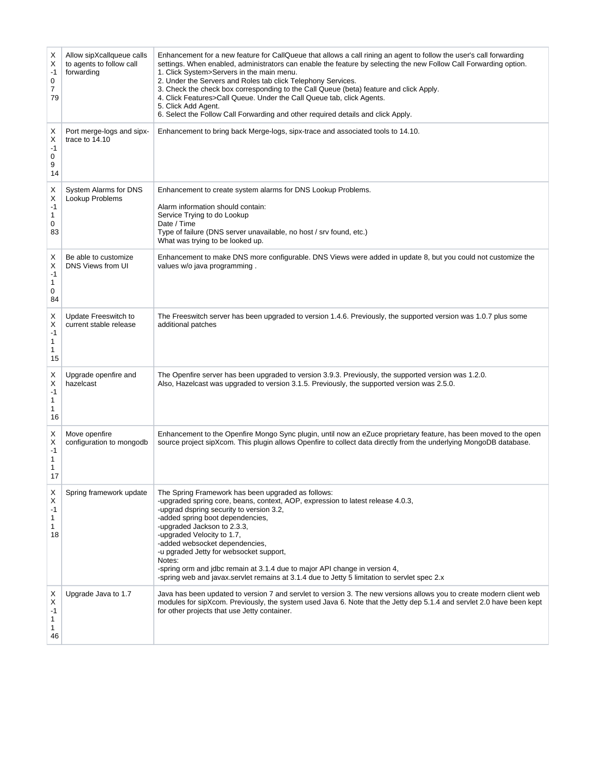| Х<br>X<br>-1<br>0<br>7         | Allow sipXcallqueue calls<br>to agents to follow call<br>forwarding | Enhancement for a new feature for CallQueue that allows a call rining an agent to follow the user's call forwarding<br>settings. When enabled, administrators can enable the feature by selecting the new Follow Call Forwarding option.<br>1. Click System>Servers in the main menu.<br>2. Under the Servers and Roles tab click Telephony Services.<br>3. Check the check box corresponding to the Call Queue (beta) feature and click Apply.                                                                                                         |
|--------------------------------|---------------------------------------------------------------------|---------------------------------------------------------------------------------------------------------------------------------------------------------------------------------------------------------------------------------------------------------------------------------------------------------------------------------------------------------------------------------------------------------------------------------------------------------------------------------------------------------------------------------------------------------|
| 79                             |                                                                     | 4. Click Features>Call Queue. Under the Call Queue tab, click Agents.<br>5. Click Add Agent.<br>6. Select the Follow Call Forwarding and other required details and click Apply.                                                                                                                                                                                                                                                                                                                                                                        |
| Х<br>X<br>$-1$<br>0<br>9<br>14 | Port merge-logs and sipx-<br>trace to 14.10                         | Enhancement to bring back Merge-logs, sipx-trace and associated tools to 14.10.                                                                                                                                                                                                                                                                                                                                                                                                                                                                         |
| Х<br>X<br>$-1$<br>1<br>0<br>83 | System Alarms for DNS<br>Lookup Problems                            | Enhancement to create system alarms for DNS Lookup Problems.<br>Alarm information should contain:<br>Service Trying to do Lookup<br>Date / Time<br>Type of failure (DNS server unavailable, no host / srv found, etc.)<br>What was trying to be looked up.                                                                                                                                                                                                                                                                                              |
| Х<br>Χ<br>$-1$<br>1<br>0<br>84 | Be able to customize<br>DNS Views from UI                           | Enhancement to make DNS more configurable. DNS Views were added in update 8, but you could not customize the<br>values w/o java programming.                                                                                                                                                                                                                                                                                                                                                                                                            |
| X<br>Х<br>-1<br>1<br>1<br>15   | Update Freeswitch to<br>current stable release                      | The Freeswitch server has been upgraded to version 1.4.6. Previously, the supported version was 1.0.7 plus some<br>additional patches                                                                                                                                                                                                                                                                                                                                                                                                                   |
| Χ<br>Х<br>$-1$<br>1<br>1<br>16 | Upgrade openfire and<br>hazelcast                                   | The Openfire server has been upgraded to version 3.9.3. Previously, the supported version was 1.2.0.<br>Also, Hazelcast was upgraded to version 3.1.5. Previously, the supported version was 2.5.0.                                                                                                                                                                                                                                                                                                                                                     |
| Х<br>X<br>$-1$<br>1<br>1<br>17 | Move openfire<br>configuration to mongodb                           | Enhancement to the Openfire Mongo Sync plugin, until now an eZuce proprietary feature, has been moved to the open<br>source project sipXcom. This plugin allows Openfire to collect data directly from the underlying MongoDB database.                                                                                                                                                                                                                                                                                                                 |
| х<br>Х<br>-1<br>1<br>1<br>18   | Spring framework update                                             | The Spring Framework has been upgraded as follows:<br>-upgraded spring core, beans, context, AOP, expression to latest release 4.0.3,<br>-upgrad dspring security to version 3.2,<br>-added spring boot dependencies,<br>-upgraded Jackson to 2.3.3,<br>-upgraded Velocity to 1.7,<br>-added websocket dependencies,<br>-u pgraded Jetty for websocket support,<br>Notes:<br>-spring orm and jdbc remain at 3.1.4 due to major API change in version 4,<br>-spring web and javax.servlet remains at 3.1.4 due to Jetty 5 limitation to servlet spec 2.x |
| х<br>X<br>$-1$<br>1<br>1<br>46 | Upgrade Java to 1.7                                                 | Java has been updated to version 7 and servlet to version 3. The new versions allows you to create modern client web<br>modules for sipXcom. Previously, the system used Java 6. Note that the Jetty dep 5.1.4 and servlet 2.0 have been kept<br>for other projects that use Jetty container.                                                                                                                                                                                                                                                           |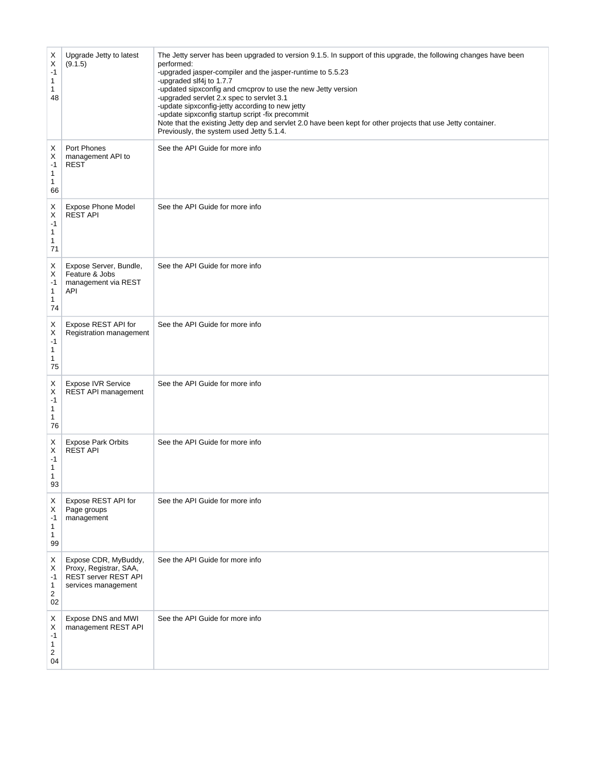| Х<br>Χ<br>$-1$<br>1<br>1<br>48                       | Upgrade Jetty to latest<br>(9.1.5)                                                                   | The Jetty server has been upgraded to version 9.1.5. In support of this upgrade, the following changes have been<br>performed:<br>-upgraded jasper-compiler and the jasper-runtime to 5.5.23<br>-upgraded slf4j to 1.7.7<br>-updated sipxconfig and cmcprov to use the new Jetty version<br>-upgraded servlet 2.x spec to servlet 3.1<br>-update sipxconfig-jetty according to new jetty<br>-update sipxconfig startup script -fix precommit<br>Note that the existing Jetty dep and servlet 2.0 have been kept for other projects that use Jetty container.<br>Previously, the system used Jetty 5.1.4. |
|------------------------------------------------------|------------------------------------------------------------------------------------------------------|----------------------------------------------------------------------------------------------------------------------------------------------------------------------------------------------------------------------------------------------------------------------------------------------------------------------------------------------------------------------------------------------------------------------------------------------------------------------------------------------------------------------------------------------------------------------------------------------------------|
| х<br>X<br>$-1$<br>1<br>1<br>66                       | Port Phones<br>management API to<br><b>REST</b>                                                      | See the API Guide for more info                                                                                                                                                                                                                                                                                                                                                                                                                                                                                                                                                                          |
| х<br>X<br>$-1$<br>$\mathbf{1}$<br>1<br>71            | <b>Expose Phone Model</b><br><b>REST API</b>                                                         | See the API Guide for more info                                                                                                                                                                                                                                                                                                                                                                                                                                                                                                                                                                          |
| Х<br>Х<br>-1<br>1<br>1<br>74                         | Expose Server, Bundle,<br>Feature & Jobs<br>management via REST<br>API                               | See the API Guide for more info                                                                                                                                                                                                                                                                                                                                                                                                                                                                                                                                                                          |
| Х<br>Χ<br>$-1$<br>1<br>1<br>75                       | Expose REST API for<br>Registration management                                                       | See the API Guide for more info                                                                                                                                                                                                                                                                                                                                                                                                                                                                                                                                                                          |
| X<br>X<br>$-1$<br>$\mathbf{1}$<br>1<br>76            | <b>Expose IVR Service</b><br>REST API management                                                     | See the API Guide for more info                                                                                                                                                                                                                                                                                                                                                                                                                                                                                                                                                                          |
| X<br>X<br>$-1$<br>1<br>1<br>93                       | <b>Expose Park Orbits</b><br><b>REST API</b>                                                         | See the API Guide for more info                                                                                                                                                                                                                                                                                                                                                                                                                                                                                                                                                                          |
| X<br>X<br>$-1$<br>1<br>1<br>99                       | Expose REST API for<br>Page groups<br>management                                                     | See the API Guide for more info                                                                                                                                                                                                                                                                                                                                                                                                                                                                                                                                                                          |
| Х<br>Х<br>$-1$<br>1<br>$\overline{\mathbf{c}}$<br>02 | Expose CDR, MyBuddy,<br>Proxy, Registrar, SAA,<br><b>REST server REST API</b><br>services management | See the API Guide for more info                                                                                                                                                                                                                                                                                                                                                                                                                                                                                                                                                                          |
| Х<br>х<br>-1<br>1<br>$\overline{\mathbf{c}}$<br>04   | Expose DNS and MWI<br>management REST API                                                            | See the API Guide for more info                                                                                                                                                                                                                                                                                                                                                                                                                                                                                                                                                                          |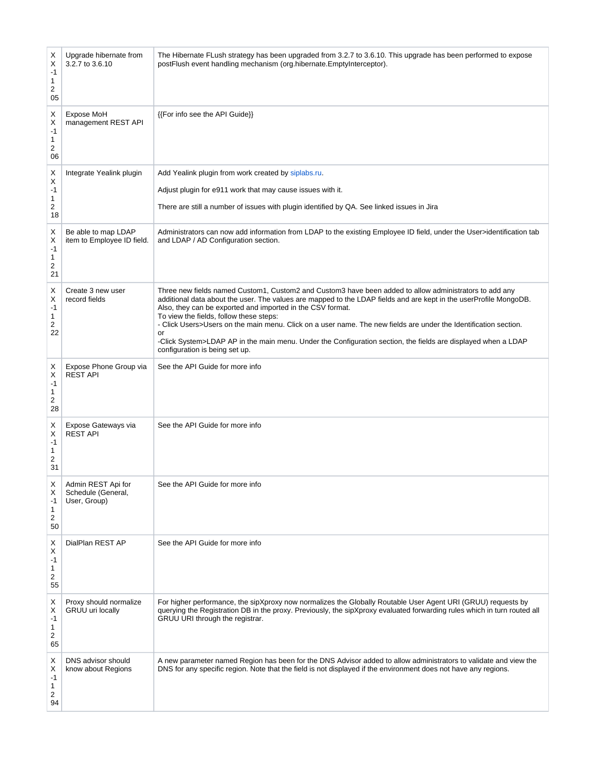| Х<br>X<br>$-1$<br>1<br>2<br>05 | Upgrade hibernate from<br>3.2.7 to 3.6.10                | The Hibernate FLush strategy has been upgraded from 3.2.7 to 3.6.10. This upgrade has been performed to expose<br>postFlush event handling mechanism (org.hibernate.EmptyInterceptor).                                                                                                                                                                                                                                                                                                                                                                                                                            |
|--------------------------------|----------------------------------------------------------|-------------------------------------------------------------------------------------------------------------------------------------------------------------------------------------------------------------------------------------------------------------------------------------------------------------------------------------------------------------------------------------------------------------------------------------------------------------------------------------------------------------------------------------------------------------------------------------------------------------------|
| х<br>X<br>$-1$<br>1<br>2<br>06 | Expose MoH<br>management REST API                        | {{For info see the API Guide}}                                                                                                                                                                                                                                                                                                                                                                                                                                                                                                                                                                                    |
| х<br>х<br>$-1$<br>1<br>2<br>18 | Integrate Yealink plugin                                 | Add Yealink plugin from work created by siplabs.ru.<br>Adjust plugin for e911 work that may cause issues with it.<br>There are still a number of issues with plugin identified by QA. See linked issues in Jira                                                                                                                                                                                                                                                                                                                                                                                                   |
| х<br>х<br>-1<br>1<br>2<br>21   | Be able to map LDAP<br>item to Employee ID field.        | Administrators can now add information from LDAP to the existing Employee ID field, under the User>identification tab<br>and LDAP / AD Configuration section.                                                                                                                                                                                                                                                                                                                                                                                                                                                     |
| Х<br>Х<br>-1<br>1<br>2<br>22   | Create 3 new user<br>record fields                       | Three new fields named Custom1, Custom2 and Custom3 have been added to allow administrators to add any<br>additional data about the user. The values are mapped to the LDAP fields and are kept in the userProfile MongoDB.<br>Also, they can be exported and imported in the CSV format.<br>To view the fields, follow these steps:<br>- Click Users>Users on the main menu. Click on a user name. The new fields are under the Identification section.<br>or<br>-Click System>LDAP AP in the main menu. Under the Configuration section, the fields are displayed when a LDAP<br>configuration is being set up. |
| х<br>Χ<br>$-1$<br>1<br>2<br>28 | Expose Phone Group via<br><b>REST API</b>                | See the API Guide for more info                                                                                                                                                                                                                                                                                                                                                                                                                                                                                                                                                                                   |
| Х<br>X<br>$-1$<br>1<br>2<br>31 | Expose Gateways via<br><b>REST API</b>                   | See the API Guide for more info                                                                                                                                                                                                                                                                                                                                                                                                                                                                                                                                                                                   |
| Х<br>х<br>-1<br>1<br>2<br>50   | Admin REST Api for<br>Schedule (General,<br>User, Group) | See the API Guide for more info                                                                                                                                                                                                                                                                                                                                                                                                                                                                                                                                                                                   |
| х<br>Χ<br>$-1$<br>1<br>2<br>55 | DialPlan REST AP                                         | See the API Guide for more info                                                                                                                                                                                                                                                                                                                                                                                                                                                                                                                                                                                   |
| х<br>х<br>$-1$<br>1<br>2<br>65 | Proxy should normalize<br>GRUU uri locally               | For higher performance, the sipXproxy now normalizes the Globally Routable User Agent URI (GRUU) requests by<br>querying the Registration DB in the proxy. Previously, the sipXproxy evaluated forwarding rules which in turn routed all<br>GRUU URI through the registrar.                                                                                                                                                                                                                                                                                                                                       |
| х<br>х<br>-1<br>1<br>2<br>94   | DNS advisor should<br>know about Regions                 | A new parameter named Region has been for the DNS Advisor added to allow administrators to validate and view the<br>DNS for any specific region. Note that the field is not displayed if the environment does not have any regions.                                                                                                                                                                                                                                                                                                                                                                               |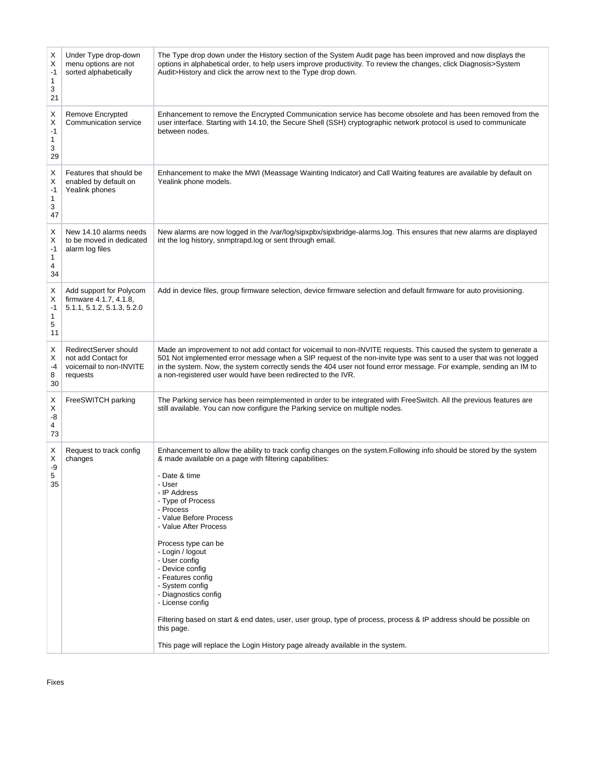| Х<br>Х<br>-1<br>1<br>3<br>21 | Under Type drop-down<br>menu options are not<br>sorted alphabetically               | The Type drop down under the History section of the System Audit page has been improved and now displays the<br>options in alphabetical order, to help users improve productivity. To review the changes, click Diagnosis>System<br>Audit>History and click the arrow next to the Type drop down.                                                                                                                                                                                                                                                                                                                                                                                                          |
|------------------------------|-------------------------------------------------------------------------------------|------------------------------------------------------------------------------------------------------------------------------------------------------------------------------------------------------------------------------------------------------------------------------------------------------------------------------------------------------------------------------------------------------------------------------------------------------------------------------------------------------------------------------------------------------------------------------------------------------------------------------------------------------------------------------------------------------------|
| Х<br>х<br>-1<br>1<br>3<br>29 | Remove Encrypted<br>Communication service                                           | Enhancement to remove the Encrypted Communication service has become obsolete and has been removed from the<br>user interface. Starting with 14.10, the Secure Shell (SSH) cryptographic network protocol is used to communicate<br>between nodes.                                                                                                                                                                                                                                                                                                                                                                                                                                                         |
| Х<br>Х<br>-1<br>1<br>3<br>47 | Features that should be<br>enabled by default on<br>Yealink phones                  | Enhancement to make the MWI (Meassage Wainting Indicator) and Call Waiting features are available by default on<br>Yealink phone models.                                                                                                                                                                                                                                                                                                                                                                                                                                                                                                                                                                   |
| х<br>Х<br>-1<br>1<br>4<br>34 | New 14.10 alarms needs<br>to be moved in dedicated<br>alarm log files               | New alarms are now logged in the /var/log/sipxpbx/sipxbridge-alarms.log. This ensures that new alarms are displayed<br>int the log history, snmptrapd.log or sent through email.                                                                                                                                                                                                                                                                                                                                                                                                                                                                                                                           |
| Х<br>Х<br>-1<br>1<br>5<br>11 | Add support for Polycom<br>firmware 4.1.7, 4.1.8,<br>5.1.1, 5.1.2, 5.1.3, 5.2.0     | Add in device files, group firmware selection, device firmware selection and default firmware for auto provisioning.                                                                                                                                                                                                                                                                                                                                                                                                                                                                                                                                                                                       |
| х<br>Х<br>-4<br>8<br>30      | RedirectServer should<br>not add Contact for<br>voicemail to non-INVITE<br>requests | Made an improvement to not add contact for voicemail to non-INVITE requests. This caused the system to generate a<br>501 Not implemented error message when a SIP request of the non-invite type was sent to a user that was not logged<br>in the system. Now, the system correctly sends the 404 user not found error message. For example, sending an IM to<br>a non-registered user would have been redirected to the IVR.                                                                                                                                                                                                                                                                              |
| Х<br>Χ<br>-8<br>4<br>73      | FreeSWITCH parking                                                                  | The Parking service has been reimplemented in order to be integrated with FreeSwitch. All the previous features are<br>still available. You can now configure the Parking service on multiple nodes.                                                                                                                                                                                                                                                                                                                                                                                                                                                                                                       |
| Х<br>Х<br>-9<br>5<br>35      | Request to track config<br>changes                                                  | Enhancement to allow the ability to track config changes on the system. Following info should be stored by the system<br>& made available on a page with filtering capabilities:<br>- Date & time<br>- User<br>- IP Address<br>- Type of Process<br>- Process<br>- Value Before Process<br>- Value After Process<br>Process type can be<br>- Login / logout<br>- User config<br>- Device config<br>- Features config<br>- System config<br>- Diagnostics config<br>- License config<br>Filtering based on start & end dates, user, user group, type of process, process & IP address should be possible on<br>this page.<br>This page will replace the Login History page already available in the system. |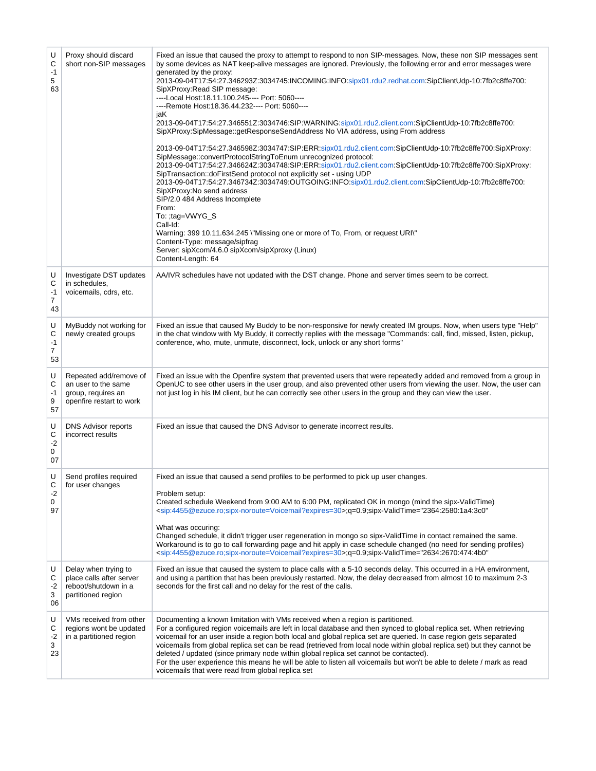| U<br>С<br>-1<br>5<br>63                | Proxy should discard<br>short non-SIP messages                                                  | Fixed an issue that caused the proxy to attempt to respond to non SIP-messages. Now, these non SIP messages sent<br>by some devices as NAT keep-alive messages are ignored. Previously, the following error and error messages were<br>generated by the proxy:<br>2013-09-04T17:54:27.346293Z:3034745:INCOMING:INFO:sipx01.rdu2.redhat.com:SipClientUdp-10:7fb2c8ffe700:<br>SipXProxy: Read SIP message:<br>----Local Host:18.11.100.245---- Port: 5060----<br>----Remote Host:18.36.44.232---- Port: 5060----<br>jaK<br>2013-09-04T17:54:27.346551Z:3034746:SIP:WARNING:sipx01.rdu2.client.com:SipClientUdp-10:7fb2c8ffe700:<br>SipXProxy:SipMessage::getResponseSendAddress No VIA address, using From address<br>2013-09-04T17:54:27.346598Z:3034747:SIP:ERR:sipx01.rdu2.client.com:SipClientUdp-10:7fb2c8ffe700:SipXProxy:<br>SipMessage::convertProtocolStringToEnum unrecognized protocol:<br>2013-09-04T17:54:27.346624Z:3034748:SIP:ERR:sipx01.rdu2.client.com:SipClientUdp-10:7fb2c8ffe700:SipXProxy:<br>SipTransaction::doFirstSend protocol not explicitly set - using UDP<br>2013-09-04T17:54:27.346734Z:3034749:OUTGOING:INFO:sipx01.rdu2.client.com:SipClientUdp-10:7fb2c8ffe700:<br>SipXProxy: No send address<br>SIP/2.0 484 Address Incomplete<br>From:<br>To: ;tag=VWYG_S<br>Call-Id:<br>Warning: 399 10.11.634.245 \"Missing one or more of To, From, or request URI\"<br>Content-Type: message/sipfrag<br>Server: sipXcom/4.6.0 sipXcom/sipXproxy (Linux)<br>Content-Length: 64 |
|----------------------------------------|-------------------------------------------------------------------------------------------------|-----------------------------------------------------------------------------------------------------------------------------------------------------------------------------------------------------------------------------------------------------------------------------------------------------------------------------------------------------------------------------------------------------------------------------------------------------------------------------------------------------------------------------------------------------------------------------------------------------------------------------------------------------------------------------------------------------------------------------------------------------------------------------------------------------------------------------------------------------------------------------------------------------------------------------------------------------------------------------------------------------------------------------------------------------------------------------------------------------------------------------------------------------------------------------------------------------------------------------------------------------------------------------------------------------------------------------------------------------------------------------------------------------------------------------------------------------------------------------------------------------|
| U<br>С<br>-1<br>7<br>43                | Investigate DST updates<br>in schedules,<br>voicemails, cdrs, etc.                              | AA/IVR schedules have not updated with the DST change. Phone and server times seem to be correct.                                                                                                                                                                                                                                                                                                                                                                                                                                                                                                                                                                                                                                                                                                                                                                                                                                                                                                                                                                                                                                                                                                                                                                                                                                                                                                                                                                                                   |
| U<br>С<br>$-1$<br>$\overline{7}$<br>53 | MyBuddy not working for<br>newly created groups                                                 | Fixed an issue that caused My Buddy to be non-responsive for newly created IM groups. Now, when users type "Help"<br>in the chat window with My Buddy, it correctly replies with the message "Commands: call, find, missed, listen, pickup,<br>conference, who, mute, unmute, disconnect, lock, unlock or any short forms"                                                                                                                                                                                                                                                                                                                                                                                                                                                                                                                                                                                                                                                                                                                                                                                                                                                                                                                                                                                                                                                                                                                                                                          |
| U<br>С<br>-1<br>9<br>57                | Repeated add/remove of<br>an user to the same<br>group, requires an<br>openfire restart to work | Fixed an issue with the Openfire system that prevented users that were repeatedly added and removed from a group in<br>OpenUC to see other users in the user group, and also prevented other users from viewing the user. Now, the user can<br>not just log in his IM client, but he can correctly see other users in the group and they can view the user.                                                                                                                                                                                                                                                                                                                                                                                                                                                                                                                                                                                                                                                                                                                                                                                                                                                                                                                                                                                                                                                                                                                                         |
| U<br>С<br>$-2$<br>0<br>07              | <b>DNS Advisor reports</b><br>incorrect results                                                 | Fixed an issue that caused the DNS Advisor to generate incorrect results.                                                                                                                                                                                                                                                                                                                                                                                                                                                                                                                                                                                                                                                                                                                                                                                                                                                                                                                                                                                                                                                                                                                                                                                                                                                                                                                                                                                                                           |
| U<br>С<br>-2<br>0<br>97                | Send profiles required<br>for user changes                                                      | Fixed an issue that caused a send profiles to be performed to pick up user changes.<br>Problem setup:<br>Created schedule Weekend from 9:00 AM to 6:00 PM, replicated OK in mongo (mind the sipx-ValidTime)<br><sip:4455@ezuce.ro;sipx-noroute=voicemail?expires=30>;q=0.9;sipx-ValidTime="2364:2580:1a4:3c0"<br/>What was occuring:<br/>Changed schedule, it didn't trigger user regeneration in mongo so sipx-ValidTime in contact remained the same.<br/>Workaround is to go to call forwarding page and hit apply in case schedule changed (no need for sending profiles)<br/><sip:4455@ezuce.ro;sipx-noroute=voicemail?expires=30>;q=0.9;sipx-ValidTime="2634:2670:474:4b0"</sip:4455@ezuce.ro;sipx-noroute=voicemail?expires=30></sip:4455@ezuce.ro;sipx-noroute=voicemail?expires=30>                                                                                                                                                                                                                                                                                                                                                                                                                                                                                                                                                                                                                                                                                                        |
| U<br>С<br>-2<br>3<br>06                | Delay when trying to<br>place calls after server<br>reboot/shutdown in a<br>partitioned region  | Fixed an issue that caused the system to place calls with a 5-10 seconds delay. This occurred in a HA environment,<br>and using a partition that has been previously restarted. Now, the delay decreased from almost 10 to maximum 2-3<br>seconds for the first call and no delay for the rest of the calls.                                                                                                                                                                                                                                                                                                                                                                                                                                                                                                                                                                                                                                                                                                                                                                                                                                                                                                                                                                                                                                                                                                                                                                                        |
| U<br>С<br>$-2$<br>3<br>23              | VMs received from other<br>regions wont be updated<br>in a partitioned region                   | Documenting a known limitation with VMs received when a region is partitioned.<br>For a configured region voicemails are left in local database and then synced to global replica set. When retrieving<br>voicemail for an user inside a region both local and global replica set are queried. In case region gets separated<br>voicemails from global replica set can be read (retrieved from local node within global replica set) but they cannot be<br>deleted / updated (since primary node within global replica set cannot be contacted).<br>For the user experience this means he will be able to listen all voicemails but won't be able to delete / mark as read<br>voicemails that were read from global replica set                                                                                                                                                                                                                                                                                                                                                                                                                                                                                                                                                                                                                                                                                                                                                                     |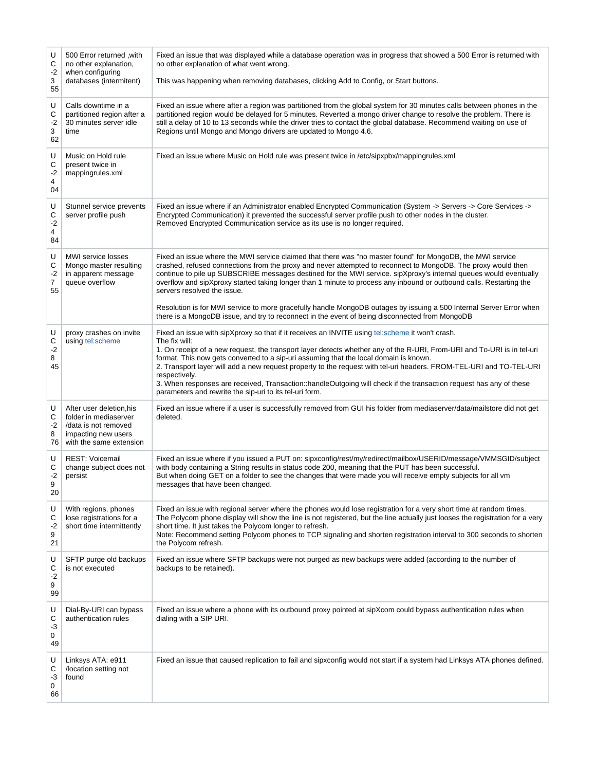| U<br>С<br>$-2$<br>3<br>55 | 500 Error returned, with<br>no other explanation,<br>when configuring<br>databases (intermitent)                            | Fixed an issue that was displayed while a database operation was in progress that showed a 500 Error is returned with<br>no other explanation of what went wrong.<br>This was happening when removing databases, clicking Add to Config, or Start buttons.                                                                                                                                                                                                                                                                                                                                                                                                                                                                                                      |
|---------------------------|-----------------------------------------------------------------------------------------------------------------------------|-----------------------------------------------------------------------------------------------------------------------------------------------------------------------------------------------------------------------------------------------------------------------------------------------------------------------------------------------------------------------------------------------------------------------------------------------------------------------------------------------------------------------------------------------------------------------------------------------------------------------------------------------------------------------------------------------------------------------------------------------------------------|
| U<br>С<br>$-2$<br>3<br>62 | Calls downtime in a<br>partitioned region after a<br>30 minutes server idle<br>time                                         | Fixed an issue where after a region was partitioned from the global system for 30 minutes calls between phones in the<br>partitioned region would be delayed for 5 minutes. Reverted a mongo driver change to resolve the problem. There is<br>still a delay of 10 to 13 seconds while the driver tries to contact the global database. Recommend waiting on use of<br>Regions until Mongo and Mongo drivers are updated to Mongo 4.6.                                                                                                                                                                                                                                                                                                                          |
| U<br>С<br>$-2$<br>4<br>04 | Music on Hold rule<br>present twice in<br>mappingrules.xml                                                                  | Fixed an issue where Music on Hold rule was present twice in /etc/sipxpbx/mappingrules.xml                                                                                                                                                                                                                                                                                                                                                                                                                                                                                                                                                                                                                                                                      |
| U<br>С<br>$-2$<br>4<br>84 | Stunnel service prevents<br>server profile push                                                                             | Fixed an issue where if an Administrator enabled Encrypted Communication (System -> Servers -> Core Services -><br>Encrypted Communication) it prevented the successful server profile push to other nodes in the cluster.<br>Removed Encrypted Communication service as its use is no longer required.                                                                                                                                                                                                                                                                                                                                                                                                                                                         |
| U<br>С<br>$-2$<br>7<br>55 | MWI service losses<br>Mongo master resulting<br>in apparent message<br>queue overflow                                       | Fixed an issue where the MWI service claimed that there was "no master found" for MongoDB, the MWI service<br>crashed, refused connections from the proxy and never attempted to reconnect to MongoDB. The proxy would then<br>continue to pile up SUBSCRIBE messages destined for the MWI service. sipXproxy's internal queues would eventually<br>overflow and sipXproxy started taking longer than 1 minute to process any inbound or outbound calls. Restarting the<br>servers resolved the issue.<br>Resolution is for MWI service to more gracefully handle MongoDB outages by issuing a 500 Internal Server Error when                                                                                                                                   |
| U<br>C<br>$-2$<br>8<br>45 | proxy crashes on invite<br>using tel:scheme                                                                                 | there is a MongoDB issue, and try to reconnect in the event of being disconnected from MongoDB<br>Fixed an issue with sipXproxy so that if it receives an INVITE using tel:scheme it won't crash.<br>The fix will:<br>1. On receipt of a new request, the transport layer detects whether any of the R-URI, From-URI and To-URI is in tel-uri<br>format. This now gets converted to a sip-uri assuming that the local domain is known.<br>2. Transport layer will add a new request property to the request with tel-uri headers. FROM-TEL-URI and TO-TEL-URI<br>respectively.<br>3. When responses are received, Transaction::handleOutgoing will check if the transaction request has any of these<br>parameters and rewrite the sip-uri to its tel-uri form. |
| U<br>С<br>-2<br>8<br>76   | After user deletion, his<br>folder in mediaserver<br>/data is not removed<br>impacting new users<br>with the same extension | Fixed an issue where if a user is successfully removed from GUI his folder from mediaserver/data/mailstore did not get<br>deleted.                                                                                                                                                                                                                                                                                                                                                                                                                                                                                                                                                                                                                              |
| U<br>С<br>$-2$<br>9<br>20 | <b>REST: Voicemail</b><br>change subject does not<br>persist                                                                | Fixed an issue where if you issued a PUT on: sipxconfig/rest/my/redirect/mailbox/USERID/message/VMMSGID/subject<br>with body containing a String results in status code 200, meaning that the PUT has been successful.<br>But when doing GET on a folder to see the changes that were made you will receive empty subjects for all vm<br>messages that have been changed.                                                                                                                                                                                                                                                                                                                                                                                       |
| U<br>С<br>-2<br>9<br>21   | With regions, phones<br>lose registrations for a<br>short time intermittently                                               | Fixed an issue with regional server where the phones would lose registration for a very short time at random times.<br>The Polycom phone display will show the line is not registered, but the line actually just looses the registration for a very<br>short time. It just takes the Polycom longer to refresh.<br>Note: Recommend setting Polycom phones to TCP signaling and shorten registration interval to 300 seconds to shorten<br>the Polycom refresh.                                                                                                                                                                                                                                                                                                 |
| U<br>С<br>$-2$<br>9<br>99 | SFTP purge old backups<br>is not executed                                                                                   | Fixed an issue where SFTP backups were not purged as new backups were added (according to the number of<br>backups to be retained).                                                                                                                                                                                                                                                                                                                                                                                                                                                                                                                                                                                                                             |
| U<br>С<br>-3<br>0<br>49   | Dial-By-URI can bypass<br>authentication rules                                                                              | Fixed an issue where a phone with its outbound proxy pointed at sipXcom could bypass authentication rules when<br>dialing with a SIP URI.                                                                                                                                                                                                                                                                                                                                                                                                                                                                                                                                                                                                                       |
| U<br>С<br>-3<br>0<br>66   | Linksys ATA: e911<br>/location setting not<br>found                                                                         | Fixed an issue that caused replication to fail and sipxconfig would not start if a system had Linksys ATA phones defined.                                                                                                                                                                                                                                                                                                                                                                                                                                                                                                                                                                                                                                       |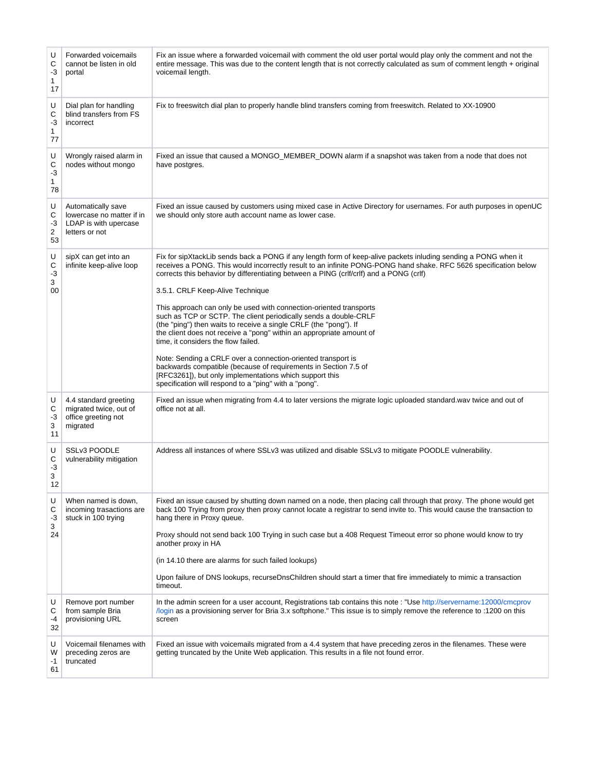| U<br>C<br>-3<br>1<br>17              | Forwarded voicemails<br>cannot be listen in old<br>portal                                  | Fix an issue where a forwarded voicemail with comment the old user portal would play only the comment and not the<br>entire message. This was due to the content length that is not correctly calculated as sum of comment length + original<br>voicemail length.                                                                                                                                                                                                                                                                                                                                                                                                                                                                                                                                                                                                                                                                                     |
|--------------------------------------|--------------------------------------------------------------------------------------------|-------------------------------------------------------------------------------------------------------------------------------------------------------------------------------------------------------------------------------------------------------------------------------------------------------------------------------------------------------------------------------------------------------------------------------------------------------------------------------------------------------------------------------------------------------------------------------------------------------------------------------------------------------------------------------------------------------------------------------------------------------------------------------------------------------------------------------------------------------------------------------------------------------------------------------------------------------|
| U<br>С<br>-3<br>1<br>77              | Dial plan for handling<br>blind transfers from FS<br>incorrect                             | Fix to freeswitch dial plan to properly handle blind transfers coming from freeswitch. Related to XX-10900                                                                                                                                                                                                                                                                                                                                                                                                                                                                                                                                                                                                                                                                                                                                                                                                                                            |
| U<br>С<br>$-3$<br>$\mathbf{1}$<br>78 | Wrongly raised alarm in<br>nodes without mongo                                             | Fixed an issue that caused a MONGO_MEMBER_DOWN alarm if a snapshot was taken from a node that does not<br>have postgres.                                                                                                                                                                                                                                                                                                                                                                                                                                                                                                                                                                                                                                                                                                                                                                                                                              |
| U<br>С<br>-3<br>2<br>53              | Automatically save<br>lowercase no matter if in<br>LDAP is with upercase<br>letters or not | Fixed an issue caused by customers using mixed case in Active Directory for usernames. For auth purposes in openUC<br>we should only store auth account name as lower case.                                                                                                                                                                                                                                                                                                                                                                                                                                                                                                                                                                                                                                                                                                                                                                           |
| U<br>С<br>$-3$<br>3<br>00            | sipX can get into an<br>infinite keep-alive loop                                           | Fix for sipXtackLib sends back a PONG if any length form of keep-alive packets inluding sending a PONG when it<br>receives a PONG. This would incorrectly result to an infinite PONG-PONG hand shake. RFC 5626 specification below<br>corrects this behavior by differentiating between a PING (crlf/crlf) and a PONG (crlf)<br>3.5.1. CRLF Keep-Alive Technique<br>This approach can only be used with connection-oriented transports<br>such as TCP or SCTP. The client periodically sends a double-CRLF<br>(the "ping") then waits to receive a single CRLF (the "pong"). If<br>the client does not receive a "pong" within an appropriate amount of<br>time, it considers the flow failed.<br>Note: Sending a CRLF over a connection-oriented transport is<br>backwards compatible (because of requirements in Section 7.5 of<br>[RFC3261]), but only implementations which support this<br>specification will respond to a "ping" with a "pong". |
| U<br>С<br>-3<br>3<br>11              | 4.4 standard greeting<br>migrated twice, out of<br>office greeting not<br>migrated         | Fixed an issue when migrating from 4.4 to later versions the migrate logic uploaded standard wav twice and out of<br>office not at all.                                                                                                                                                                                                                                                                                                                                                                                                                                                                                                                                                                                                                                                                                                                                                                                                               |
| U<br>С<br>$-3$<br>3<br>12            | SSLv3 POODLE<br>vulnerability mitigation                                                   | Address all instances of where SSLv3 was utilized and disable SSLv3 to mitigate POODLE vulnerability.                                                                                                                                                                                                                                                                                                                                                                                                                                                                                                                                                                                                                                                                                                                                                                                                                                                 |
| U<br>С<br>-3<br>3<br>24              | When named is down,<br>incoming trasactions are<br>stuck in 100 trying                     | Fixed an issue caused by shutting down named on a node, then placing call through that proxy. The phone would get<br>back 100 Trying from proxy then proxy cannot locate a registrar to send invite to. This would cause the transaction to<br>hang there in Proxy queue.<br>Proxy should not send back 100 Trying in such case but a 408 Request Timeout error so phone would know to try<br>another proxy in HA<br>(in 14.10 there are alarms for such failed lookups)<br>Upon failure of DNS lookups, recurseDnsChildren should start a timer that fire immediately to mimic a transaction<br>timeout.                                                                                                                                                                                                                                                                                                                                             |
| U<br>С<br>-4<br>32                   | Remove port number<br>from sample Bria<br>provisioning URL                                 | In the admin screen for a user account, Registrations tab contains this note: "Use http://servername:12000/cmcprov<br>login as a provisioning server for Bria 3.x softphone." This issue is to simply remove the reference to :1200 on this<br>screen                                                                                                                                                                                                                                                                                                                                                                                                                                                                                                                                                                                                                                                                                                 |
| U<br>W<br>-1<br>61                   | Voicemail filenames with<br>preceding zeros are<br>truncated                               | Fixed an issue with voicemails migrated from a 4.4 system that have preceding zeros in the filenames. These were<br>getting truncated by the Unite Web application. This results in a file not found error.                                                                                                                                                                                                                                                                                                                                                                                                                                                                                                                                                                                                                                                                                                                                           |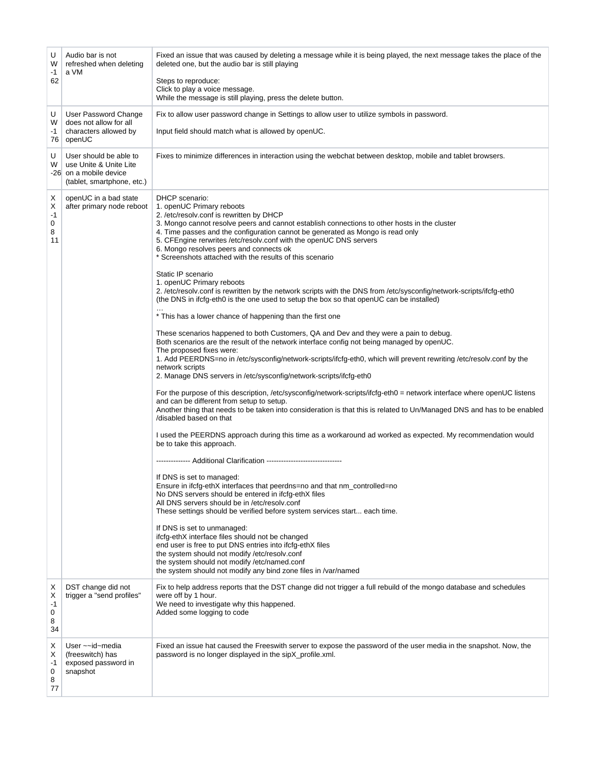| U<br>W<br>$-1$               | Audio bar is not<br>refreshed when deleting<br>a VM                                                      | Fixed an issue that was caused by deleting a message while it is being played, the next message takes the place of the<br>deleted one, but the audio bar is still playing                                                                                                                                                                                                                                                                                                                                                                                                                                                                                                                                                                                                                                                                                                                                                                                                                                                                                                                                                                                                                                                                                                                                                                                                                                                                                                                                                                                                                                                                                                                                                                                                                                                                                                                                                                                                                                                                                                                                                                                                                                                                                 |
|------------------------------|----------------------------------------------------------------------------------------------------------|-----------------------------------------------------------------------------------------------------------------------------------------------------------------------------------------------------------------------------------------------------------------------------------------------------------------------------------------------------------------------------------------------------------------------------------------------------------------------------------------------------------------------------------------------------------------------------------------------------------------------------------------------------------------------------------------------------------------------------------------------------------------------------------------------------------------------------------------------------------------------------------------------------------------------------------------------------------------------------------------------------------------------------------------------------------------------------------------------------------------------------------------------------------------------------------------------------------------------------------------------------------------------------------------------------------------------------------------------------------------------------------------------------------------------------------------------------------------------------------------------------------------------------------------------------------------------------------------------------------------------------------------------------------------------------------------------------------------------------------------------------------------------------------------------------------------------------------------------------------------------------------------------------------------------------------------------------------------------------------------------------------------------------------------------------------------------------------------------------------------------------------------------------------------------------------------------------------------------------------------------------------|
| 62                           |                                                                                                          | Steps to reproduce:<br>Click to play a voice message.<br>While the message is still playing, press the delete button.                                                                                                                                                                                                                                                                                                                                                                                                                                                                                                                                                                                                                                                                                                                                                                                                                                                                                                                                                                                                                                                                                                                                                                                                                                                                                                                                                                                                                                                                                                                                                                                                                                                                                                                                                                                                                                                                                                                                                                                                                                                                                                                                     |
| U                            | User Password Change                                                                                     | Fix to allow user password change in Settings to allow user to utilize symbols in password.                                                                                                                                                                                                                                                                                                                                                                                                                                                                                                                                                                                                                                                                                                                                                                                                                                                                                                                                                                                                                                                                                                                                                                                                                                                                                                                                                                                                                                                                                                                                                                                                                                                                                                                                                                                                                                                                                                                                                                                                                                                                                                                                                               |
| W<br>-1                      | does not allow for all<br>characters allowed by<br>76   openUC                                           | Input field should match what is allowed by openUC.                                                                                                                                                                                                                                                                                                                                                                                                                                                                                                                                                                                                                                                                                                                                                                                                                                                                                                                                                                                                                                                                                                                                                                                                                                                                                                                                                                                                                                                                                                                                                                                                                                                                                                                                                                                                                                                                                                                                                                                                                                                                                                                                                                                                       |
| U<br>W                       | User should be able to<br>use Unite & Unite Lite<br>-26 on a mobile device<br>(tablet, smartphone, etc.) | Fixes to minimize differences in interaction using the webchat between desktop, mobile and tablet browsers.                                                                                                                                                                                                                                                                                                                                                                                                                                                                                                                                                                                                                                                                                                                                                                                                                                                                                                                                                                                                                                                                                                                                                                                                                                                                                                                                                                                                                                                                                                                                                                                                                                                                                                                                                                                                                                                                                                                                                                                                                                                                                                                                               |
| х<br>Х<br>-1<br>0<br>8<br>11 | openUC in a bad state<br>after primary node reboot                                                       | DHCP scenario:<br>1. openUC Primary reboots<br>2. /etc/resolv.conf is rewritten by DHCP<br>3. Mongo cannot resolve peers and cannot establish connections to other hosts in the cluster<br>4. Time passes and the configuration cannot be generated as Mongo is read only<br>5. CFEngine rerwrites /etc/resolv.conf with the openUC DNS servers<br>6. Mongo resolves peers and connects ok<br>* Screenshots attached with the results of this scenario<br>Static IP scenario<br>1. openUC Primary reboots<br>2. /etc/resolv.conf is rewritten by the network scripts with the DNS from /etc/sysconfig/network-scripts/ifcfg-eth0<br>(the DNS in ifcfg-eth0 is the one used to setup the box so that open UC can be installed)<br>* This has a lower chance of happening than the first one<br>These scenarios happened to both Customers, QA and Dev and they were a pain to debug.<br>Both scenarios are the result of the network interface config not being managed by openUC.<br>The proposed fixes were:<br>1. Add PEERDNS=no in /etc/sysconfig/network-scripts/ifcfg-eth0, which will prevent rewriting /etc/resolv.conf by the<br>network scripts<br>2. Manage DNS servers in /etc/sysconfig/network-scripts/ifcfg-eth0<br>For the purpose of this description, /etc/sysconfig/network-scripts/ifcfg-eth0 = network interface where openUC listens<br>and can be different from setup to setup.<br>Another thing that needs to be taken into consideration is that this is related to Un/Managed DNS and has to be enabled<br>/disabled based on that<br>I used the PEERDNS approach during this time as a workaround ad worked as expected. My recommendation would<br>be to take this approach.<br>If DNS is set to managed:<br>Ensure in ifcfg-ethX interfaces that peerdns=no and that nm_controlled=no<br>No DNS servers should be entered in ifcfg-ethX files<br>All DNS servers should be in /etc/resolv.conf<br>These settings should be verified before system services start each time.<br>If DNS is set to unmanaged:<br>ifcfg-ethX interface files should not be changed<br>end user is free to put DNS entries into ifcfg-ethX files<br>the system should not modify /etc/resolv.conf<br>the system should not modify /etc/named.conf |
| х<br>х<br>-1<br>0<br>8<br>34 | DST change did not<br>trigger a "send profiles"                                                          | the system should not modify any bind zone files in /var/named<br>Fix to help address reports that the DST change did not trigger a full rebuild of the mongo database and schedules<br>were off by 1 hour.<br>We need to investigate why this happened.<br>Added some logging to code                                                                                                                                                                                                                                                                                                                                                                                                                                                                                                                                                                                                                                                                                                                                                                                                                                                                                                                                                                                                                                                                                                                                                                                                                                                                                                                                                                                                                                                                                                                                                                                                                                                                                                                                                                                                                                                                                                                                                                    |
| х<br>Х<br>-1<br>0<br>8<br>77 | User $\sim$ -id~media<br>(freeswitch) has<br>exposed password in<br>snapshot                             | Fixed an issue hat caused the Freeswith server to expose the password of the user media in the snapshot. Now, the<br>password is no longer displayed in the sipX_profile.xml.                                                                                                                                                                                                                                                                                                                                                                                                                                                                                                                                                                                                                                                                                                                                                                                                                                                                                                                                                                                                                                                                                                                                                                                                                                                                                                                                                                                                                                                                                                                                                                                                                                                                                                                                                                                                                                                                                                                                                                                                                                                                             |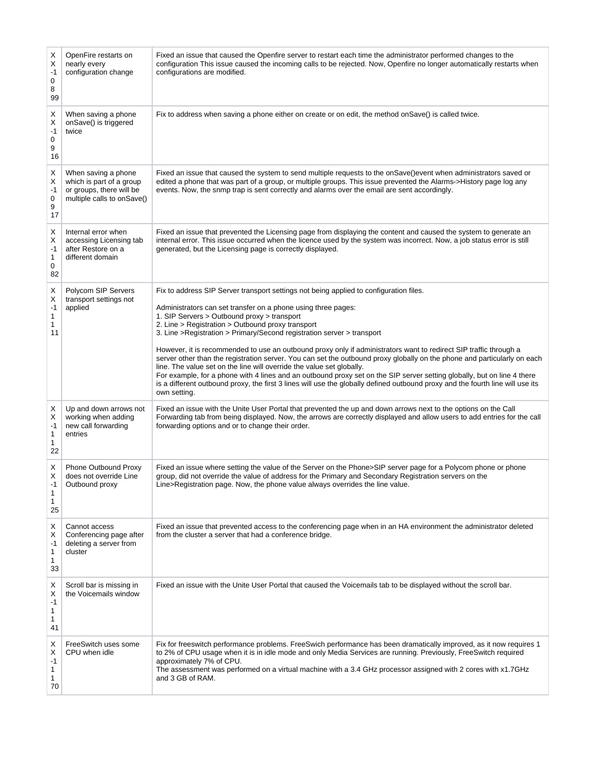| х<br>Χ<br>$-1$<br>0<br>8<br>99 | OpenFire restarts on<br>nearly every<br>configuration change                                              | Fixed an issue that caused the Openfire server to restart each time the administrator performed changes to the<br>configuration This issue caused the incoming calls to be rejected. Now, Openfire no longer automatically restarts when<br>configurations are modified.                                                                                                                                                                                                                                                                                                                                                                                                                                                                                                                                                                                                                                                                     |
|--------------------------------|-----------------------------------------------------------------------------------------------------------|----------------------------------------------------------------------------------------------------------------------------------------------------------------------------------------------------------------------------------------------------------------------------------------------------------------------------------------------------------------------------------------------------------------------------------------------------------------------------------------------------------------------------------------------------------------------------------------------------------------------------------------------------------------------------------------------------------------------------------------------------------------------------------------------------------------------------------------------------------------------------------------------------------------------------------------------|
| х<br>х<br>$-1$<br>0<br>9<br>16 | When saving a phone<br>onSave() is triggered<br>twice                                                     | Fix to address when saving a phone either on create or on edit, the method on Save() is called twice.                                                                                                                                                                                                                                                                                                                                                                                                                                                                                                                                                                                                                                                                                                                                                                                                                                        |
| Х<br>Х<br>$-1$<br>0<br>9<br>17 | When saving a phone<br>which is part of a group<br>or groups, there will be<br>multiple calls to onSave() | Fixed an issue that caused the system to send multiple requests to the onSave()event when administrators saved or<br>edited a phone that was part of a group, or multiple groups. This issue prevented the Alarms->History page log any<br>events. Now, the snmp trap is sent correctly and alarms over the email are sent accordingly.                                                                                                                                                                                                                                                                                                                                                                                                                                                                                                                                                                                                      |
| Х<br>X<br>$-1$<br>1<br>0<br>82 | Internal error when<br>accessing Licensing tab<br>after Restore on a<br>different domain                  | Fixed an issue that prevented the Licensing page from displaying the content and caused the system to generate an<br>internal error. This issue occurred when the licence used by the system was incorrect. Now, a job status error is still<br>generated, but the Licensing page is correctly displayed.                                                                                                                                                                                                                                                                                                                                                                                                                                                                                                                                                                                                                                    |
| X<br>Χ<br>$-1$<br>1<br>1<br>11 | Polycom SIP Servers<br>transport settings not<br>applied                                                  | Fix to address SIP Server transport settings not being applied to configuration files.<br>Administrators can set transfer on a phone using three pages:<br>1. SIP Servers > Outbound proxy > transport<br>2. Line > Registration > Outbound proxy transport<br>3. Line >Registration > Primary/Second registration server > transport<br>However, it is recommended to use an outbound proxy only if administrators want to redirect SIP traffic through a<br>server other than the registration server. You can set the outbound proxy globally on the phone and particularly on each<br>line. The value set on the line will override the value set globally.<br>For example, for a phone with 4 lines and an outbound proxy set on the SIP server setting globally, but on line 4 there<br>is a different outbound proxy, the first 3 lines will use the globally defined outbound proxy and the fourth line will use its<br>own setting. |
| х<br>х<br>$-1$<br>1<br>1<br>22 | Up and down arrows not<br>working when adding<br>new call forwarding<br>entries                           | Fixed an issue with the Unite User Portal that prevented the up and down arrows next to the options on the Call<br>Forwarding tab from being displayed. Now, the arrows are correctly displayed and allow users to add entries for the call<br>forwarding options and or to change their order.                                                                                                                                                                                                                                                                                                                                                                                                                                                                                                                                                                                                                                              |
| Х<br>X<br>1<br>1<br>25         | Phone Outbound Proxy<br>does not override Line<br>Outbound proxy                                          | Fixed an issue where setting the value of the Server on the Phone>SIP server page for a Polycom phone or phone<br>group, did not override the value of address for the Primary and Secondary Registration servers on the<br>Line>Registration page. Now, the phone value always overrides the line value.                                                                                                                                                                                                                                                                                                                                                                                                                                                                                                                                                                                                                                    |
| X<br>X<br>$-1$<br>1<br>1<br>33 | Cannot access<br>Conferencing page after<br>deleting a server from<br>cluster                             | Fixed an issue that prevented access to the conferencing page when in an HA environment the administrator deleted<br>from the cluster a server that had a conference bridge.                                                                                                                                                                                                                                                                                                                                                                                                                                                                                                                                                                                                                                                                                                                                                                 |
| Х<br>х<br>$-1$<br>1<br>1<br>41 | Scroll bar is missing in<br>the Voicemails window                                                         | Fixed an issue with the Unite User Portal that caused the Voicemails tab to be displayed without the scroll bar.                                                                                                                                                                                                                                                                                                                                                                                                                                                                                                                                                                                                                                                                                                                                                                                                                             |
| х<br>Х<br>-1<br>1<br>1<br>70   | FreeSwitch uses some<br>CPU when idle                                                                     | Fix for freeswitch performance problems. FreeSwich performance has been dramatically improved, as it now requires 1<br>to 2% of CPU usage when it is in idle mode and only Media Services are running. Previously, FreeSwitch required<br>approximately 7% of CPU.<br>The assessment was performed on a virtual machine with a 3.4 GHz processor assigned with 2 cores with x1.7GHz<br>and 3 GB of RAM.                                                                                                                                                                                                                                                                                                                                                                                                                                                                                                                                      |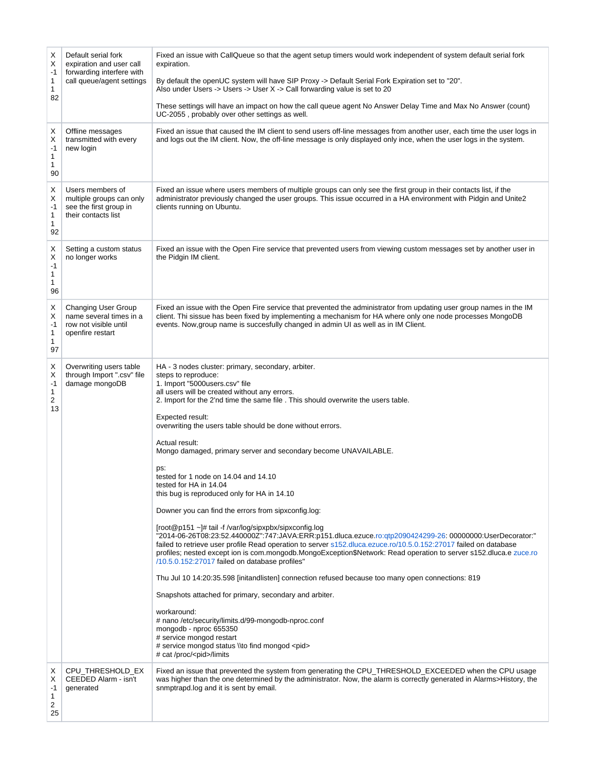| х<br>Х<br>$-1$<br>1<br>1<br>82 | Default serial fork<br>expiration and user call<br>forwarding interfere with<br>call queue/agent settings | Fixed an issue with CallQueue so that the agent setup timers would work independent of system default serial fork<br>expiration.<br>By default the openUC system will have SIP Proxy -> Default Serial Fork Expiration set to "20".<br>Also under Users -> Users -> User X -> Call forwarding value is set to 20<br>These settings will have an impact on how the call queue agent No Answer Delay Time and Max No Answer (count)<br>UC-2055, probably over other settings as well.                                                                                                                                                                                                                                                                                                                                                                                                                                                                                                                                                                                                                                                                                                                                                                                                                                                                                                                                                                              |
|--------------------------------|-----------------------------------------------------------------------------------------------------------|------------------------------------------------------------------------------------------------------------------------------------------------------------------------------------------------------------------------------------------------------------------------------------------------------------------------------------------------------------------------------------------------------------------------------------------------------------------------------------------------------------------------------------------------------------------------------------------------------------------------------------------------------------------------------------------------------------------------------------------------------------------------------------------------------------------------------------------------------------------------------------------------------------------------------------------------------------------------------------------------------------------------------------------------------------------------------------------------------------------------------------------------------------------------------------------------------------------------------------------------------------------------------------------------------------------------------------------------------------------------------------------------------------------------------------------------------------------|
| х<br>х<br>-1<br>1<br>1<br>90   | Offline messages<br>transmitted with every<br>new login                                                   | Fixed an issue that caused the IM client to send users off-line messages from another user, each time the user logs in<br>and logs out the IM client. Now, the off-line message is only displayed only ince, when the user logs in the system.                                                                                                                                                                                                                                                                                                                                                                                                                                                                                                                                                                                                                                                                                                                                                                                                                                                                                                                                                                                                                                                                                                                                                                                                                   |
| Х<br>х<br>-1<br>1<br>1<br>92   | Users members of<br>multiple groups can only<br>see the first group in<br>their contacts list             | Fixed an issue where users members of multiple groups can only see the first group in their contacts list, if the<br>administrator previously changed the user groups. This issue occurred in a HA environment with Pidgin and Unite2<br>clients running on Ubuntu.                                                                                                                                                                                                                                                                                                                                                                                                                                                                                                                                                                                                                                                                                                                                                                                                                                                                                                                                                                                                                                                                                                                                                                                              |
| Х<br>Χ<br>$-1$<br>1<br>1<br>96 | Setting a custom status<br>no longer works                                                                | Fixed an issue with the Open Fire service that prevented users from viewing custom messages set by another user in<br>the Pidgin IM client.                                                                                                                                                                                                                                                                                                                                                                                                                                                                                                                                                                                                                                                                                                                                                                                                                                                                                                                                                                                                                                                                                                                                                                                                                                                                                                                      |
| Х<br>Χ<br>-1<br>1<br>1<br>97   | <b>Changing User Group</b><br>name several times in a<br>row not visible until<br>openfire restart        | Fixed an issue with the Open Fire service that prevented the administrator from updating user group names in the IM<br>client. Thi sissue has been fixed by implementing a mechanism for HA where only one node processes MongoDB<br>events. Now, group name is succesfully changed in admin UI as well as in IM Client.                                                                                                                                                                                                                                                                                                                                                                                                                                                                                                                                                                                                                                                                                                                                                                                                                                                                                                                                                                                                                                                                                                                                         |
| Х<br>х<br>$-1$<br>1<br>2<br>13 | Overwriting users table<br>through Import ".csv" file<br>damage mongoDB                                   | HA - 3 nodes cluster: primary, secondary, arbiter.<br>steps to reproduce:<br>1. Import "5000users.csv" file<br>all users will be created without any errors.<br>2. Import for the 2'nd time the same file . This should overwrite the users table.<br>Expected result:<br>overwriting the users table should be done without errors.<br>Actual result:<br>Mongo damaged, primary server and secondary become UNAVAILABLE.<br>ps:<br>tested for 1 node on 14.04 and 14.10<br>tested for HA in 14.04<br>this bug is reproduced only for HA in 14.10<br>Downer you can find the errors from sipxconfig.log:<br>[root@p151 ~]# tail -f /var/log/sipxpbx/sipxconfig.log<br>"2014-06-26T08:23:52.440000Z":747:JAVA:ERR:p151.dluca.ezuce.ro:qtp2090424299-26: 00000000:UserDecorator:"<br>failed to retrieve user profile Read operation to server s152.dluca.ezuce.ro/10.5.0.152:27017 failed on database<br>profiles; nested except ion is com.mongodb.MongoException\$Network: Read operation to server s152.dluca.e zuce.ro<br>/10.5.0.152:27017 failed on database profiles"<br>Thu Jul 10 14:20:35.598 [initandlisten] connection refused because too many open connections: 819<br>Snapshots attached for primary, secondary and arbiter.<br>workaround:<br># nano /etc/security/limits.d/99-mongodb-nproc.conf<br>mongodb - nproc 655350<br># service mongod restart<br># service mongod status \\to find mongod <pid><br/># cat /proc/<pid>/limits</pid></pid> |
| х<br>Х<br>-1<br>1<br>2<br>25   | CPU_THRESHOLD_EX<br>CEEDED Alarm - isn't<br>generated                                                     | Fixed an issue that prevented the system from generating the CPU_THRESHOLD_EXCEEDED when the CPU usage<br>was higher than the one determined by the administrator. Now, the alarm is correctly generated in Alarms>History, the<br>snmptrapd.log and it is sent by email.                                                                                                                                                                                                                                                                                                                                                                                                                                                                                                                                                                                                                                                                                                                                                                                                                                                                                                                                                                                                                                                                                                                                                                                        |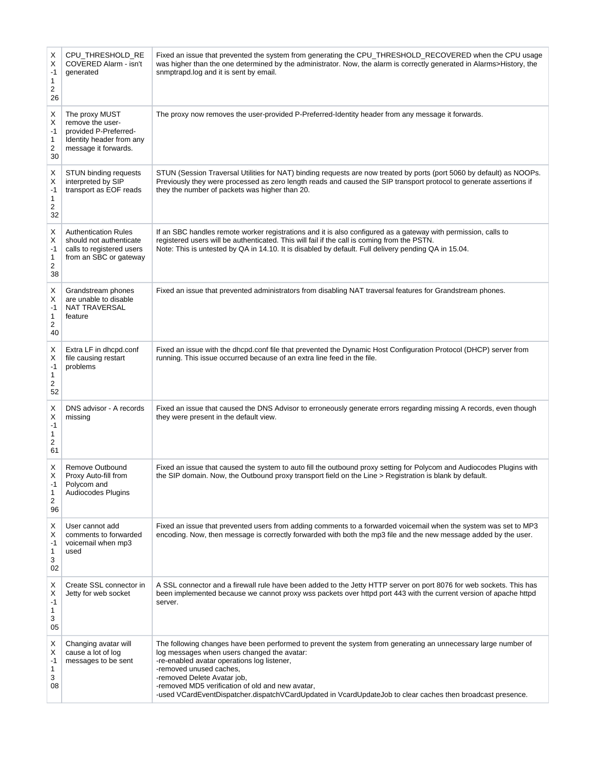| Х<br>Χ<br>$-1$<br>1<br>2<br>26 | CPU_THRESHOLD_RE<br>COVERED Alarm - isn't<br>generated                                                          | Fixed an issue that prevented the system from generating the CPU_THRESHOLD_RECOVERED when the CPU usage<br>was higher than the one determined by the administrator. Now, the alarm is correctly generated in Alarms>History, the<br>snmptrapd.log and it is sent by email.                                                                                                                                                               |
|--------------------------------|-----------------------------------------------------------------------------------------------------------------|------------------------------------------------------------------------------------------------------------------------------------------------------------------------------------------------------------------------------------------------------------------------------------------------------------------------------------------------------------------------------------------------------------------------------------------|
| X<br>X<br>$-1$<br>1<br>2<br>30 | The proxy MUST<br>remove the user-<br>provided P-Preferred-<br>Identity header from any<br>message it forwards. | The proxy now removes the user-provided P-Preferred-Identity header from any message it forwards.                                                                                                                                                                                                                                                                                                                                        |
| Х<br>X<br>-1<br>1<br>2<br>32   | STUN binding requests<br>interpreted by SIP<br>transport as EOF reads                                           | STUN (Session Traversal Utilities for NAT) binding requests are now treated by ports (port 5060 by default) as NOOPs.<br>Previously they were processed as zero length reads and caused the SIP transport protocol to generate assertions if<br>they the number of packets was higher than 20.                                                                                                                                           |
| X<br>Χ<br>-1<br>1<br>2<br>38   | <b>Authentication Rules</b><br>should not authenticate<br>calls to registered users<br>from an SBC or gateway   | If an SBC handles remote worker registrations and it is also configured as a gateway with permission, calls to<br>registered users will be authenticated. This will fail if the call is coming from the PSTN.<br>Note: This is untested by QA in 14.10. It is disabled by default. Full delivery pending QA in 15.04.                                                                                                                    |
| Χ<br>Χ<br>$-1$<br>1<br>2<br>40 | Grandstream phones<br>are unable to disable<br>NAT TRAVERSAL<br>feature                                         | Fixed an issue that prevented administrators from disabling NAT traversal features for Grandstream phones.                                                                                                                                                                                                                                                                                                                               |
| Х<br>X<br>$-1$<br>1<br>2<br>52 | Extra LF in dhcpd.conf<br>file causing restart<br>problems                                                      | Fixed an issue with the dhcpd.conf file that prevented the Dynamic Host Configuration Protocol (DHCP) server from<br>running. This issue occurred because of an extra line feed in the file.                                                                                                                                                                                                                                             |
| X<br>Χ<br>$-1$<br>1<br>2<br>61 | DNS advisor - A records<br>missing                                                                              | Fixed an issue that caused the DNS Advisor to erroneously generate errors regarding missing A records, even though<br>they were present in the default view.                                                                                                                                                                                                                                                                             |
| Х<br>X<br>1<br>2<br>96         | Remove Outbound<br>Proxy Auto-fill from<br>Polycom and<br>Audiocodes Plugins                                    | Fixed an issue that caused the system to auto fill the outbound proxy setting for Polycom and Audiocodes Plugins with<br>the SIP domain. Now, the Outbound proxy transport field on the Line > Registration is blank by default.                                                                                                                                                                                                         |
| Х<br>х<br>$-1$<br>1<br>3<br>02 | User cannot add<br>comments to forwarded<br>voicemail when mp3<br>used                                          | Fixed an issue that prevented users from adding comments to a forwarded voicemail when the system was set to MP3<br>encoding. Now, then message is correctly forwarded with both the mp3 file and the new message added by the user.                                                                                                                                                                                                     |
| Х<br>Х<br>-1<br>1<br>3<br>05   | Create SSL connector in<br>Jetty for web socket                                                                 | A SSL connector and a firewall rule have been added to the Jetty HTTP server on port 8076 for web sockets. This has<br>been implemented because we cannot proxy wss packets over httpd port 443 with the current version of apache httpd<br>server.                                                                                                                                                                                      |
| Х<br>Х<br>-1<br>1<br>3<br>08   | Changing avatar will<br>cause a lot of log<br>messages to be sent                                               | The following changes have been performed to prevent the system from generating an unnecessary large number of<br>log messages when users changed the avatar:<br>-re-enabled avatar operations log listener,<br>-removed unused caches,<br>-removed Delete Avatar job,<br>-removed MD5 verification of old and new avatar,<br>-used VCardEventDispatcher.dispatchVCardUpdated in VcardUpdateJob to clear caches then broadcast presence. |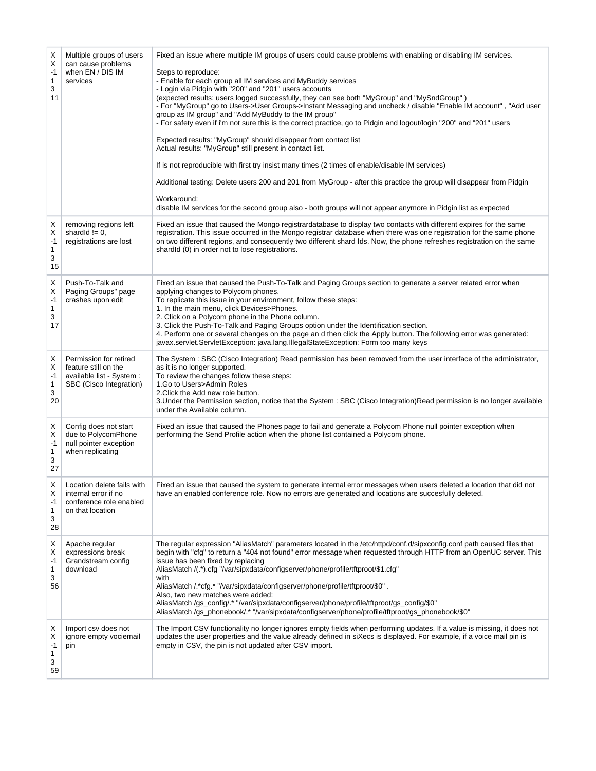| Х<br>X<br>$-1$<br>$\mathbf{1}$<br>3<br>11 | Multiple groups of users<br>can cause problems<br>when EN / DIS IM<br>services                         | Fixed an issue where multiple IM groups of users could cause problems with enabling or disabling IM services.<br>Steps to reproduce:<br>- Enable for each group all IM services and MyBuddy services<br>- Login via Pidgin with "200" and "201" users accounts<br>(expected results: users logged successfully, they can see both "MyGroup" and "MySndGroup")<br>- For "MyGroup" go to Users->User Groups->Instant Messaging and uncheck / disable "Enable IM account", "Add user<br>group as IM group" and "Add MyBuddy to the IM group"<br>- For safety even if i'm not sure this is the correct practice, go to Pidgin and logout/login "200" and "201" users<br>Expected results: "MyGroup" should disappear from contact list<br>Actual results: "MyGroup" still present in contact list.<br>If is not reproducible with first try insist many times (2 times of enable/disable IM services)<br>Additional testing: Delete users 200 and 201 from MyGroup - after this practice the group will disappear from Pidgin<br>Workaround:<br>disable IM services for the second group also - both groups will not appear anymore in Pidgin list as expected |
|-------------------------------------------|--------------------------------------------------------------------------------------------------------|------------------------------------------------------------------------------------------------------------------------------------------------------------------------------------------------------------------------------------------------------------------------------------------------------------------------------------------------------------------------------------------------------------------------------------------------------------------------------------------------------------------------------------------------------------------------------------------------------------------------------------------------------------------------------------------------------------------------------------------------------------------------------------------------------------------------------------------------------------------------------------------------------------------------------------------------------------------------------------------------------------------------------------------------------------------------------------------------------------------------------------------------------------|
| Х<br>X<br>$-1$<br>$\mathbf{1}$<br>3<br>15 | removing regions left<br>shardld $!= 0$ ,<br>registrations are lost                                    | Fixed an issue that caused the Mongo registrardatabase to display two contacts with different expires for the same<br>registration. This issue occurred in the Mongo registrar database when there was one registration for the same phone<br>on two different regions, and consequently two different shard lds. Now, the phone refreshes registration on the same<br>shardld (0) in order not to lose registrations.                                                                                                                                                                                                                                                                                                                                                                                                                                                                                                                                                                                                                                                                                                                                     |
| X<br>X<br>$-1$<br>1<br>3<br>17            | Push-To-Talk and<br>Paging Groups" page<br>crashes upon edit                                           | Fixed an issue that caused the Push-To-Talk and Paging Groups section to generate a server related error when<br>applying changes to Polycom phones.<br>To replicate this issue in your environment, follow these steps:<br>1. In the main menu, click Devices>Phones.<br>2. Click on a Polycom phone in the Phone column.<br>3. Click the Push-To-Talk and Paging Groups option under the Identification section.<br>4. Perform one or several changes on the page an d then click the Apply button. The following error was generated:<br>javax.servlet.ServletException: java.lang.IllegalStateException: Form too many keys                                                                                                                                                                                                                                                                                                                                                                                                                                                                                                                            |
| Χ<br>X<br>$-1$<br>1<br>3<br>20            | Permission for retired<br>feature still on the<br>available list - System :<br>SBC (Cisco Integration) | The System: SBC (Cisco Integration) Read permission has been removed from the user interface of the administrator,<br>as it is no longer supported.<br>To review the changes follow these steps:<br>1.Go to Users>Admin Roles<br>2. Click the Add new role button.<br>3. Under the Permission section, notice that the System : SBC (Cisco Integration) Read permission is no longer available<br>under the Available column.                                                                                                                                                                                                                                                                                                                                                                                                                                                                                                                                                                                                                                                                                                                              |
| X<br>Χ<br>$-1$<br>$\mathbf{1}$<br>3<br>27 | Config does not start<br>due to PolycomPhone<br>null pointer exception<br>when replicating             | Fixed an issue that caused the Phones page to fail and generate a Polycom Phone null pointer exception when<br>performing the Send Profile action when the phone list contained a Polycom phone.                                                                                                                                                                                                                                                                                                                                                                                                                                                                                                                                                                                                                                                                                                                                                                                                                                                                                                                                                           |
| Χ<br>Х<br>$-1$<br>1<br>3<br>28            | Location delete fails with<br>internal error if no<br>conference role enabled<br>on that location      | Fixed an issue that caused the system to generate internal error messages when users deleted a location that did not<br>have an enabled conference role. Now no errors are generated and locations are succesfully deleted.                                                                                                                                                                                                                                                                                                                                                                                                                                                                                                                                                                                                                                                                                                                                                                                                                                                                                                                                |
| Χ<br>Х<br>-1<br>1<br>3<br>56              | Apache regular<br>expressions break<br>Grandstream config<br>download                                  | The regular expression "AliasMatch" parameters located in the /etc/httpd/conf.d/sipxconfig.conf path caused files that<br>begin with "cfg" to return a "404 not found" error message when requested through HTTP from an OpenUC server. This<br>issue has been fixed by replacing<br>AliasMatch /(.*).cfg "/var/sipxdata/configserver/phone/profile/tftproot/\$1.cfg"<br>with<br>AliasMatch / *cfg.* "/var/sipxdata/configserver/phone/profile/tftproot/\$0".<br>Also, two new matches were added:<br>AliasMatch/gs_config/.* "/var/sipxdata/configserver/phone/profile/tftproot/gs_config/\$0"<br>AliasMatch /gs_phonebook/.* "/var/sipxdata/configserver/phone/profile/tftproot/gs_phonebook/\$0"                                                                                                                                                                                                                                                                                                                                                                                                                                                        |
| Х<br>Х<br>-1<br>1<br>3<br>59              | Import csv does not<br>ignore empty vociemail<br>pin                                                   | The Import CSV functionality no longer ignores empty fields when performing updates. If a value is missing, it does not<br>updates the user properties and the value already defined in siXecs is displayed. For example, if a voice mail pin is<br>empty in CSV, the pin is not updated after CSV import.                                                                                                                                                                                                                                                                                                                                                                                                                                                                                                                                                                                                                                                                                                                                                                                                                                                 |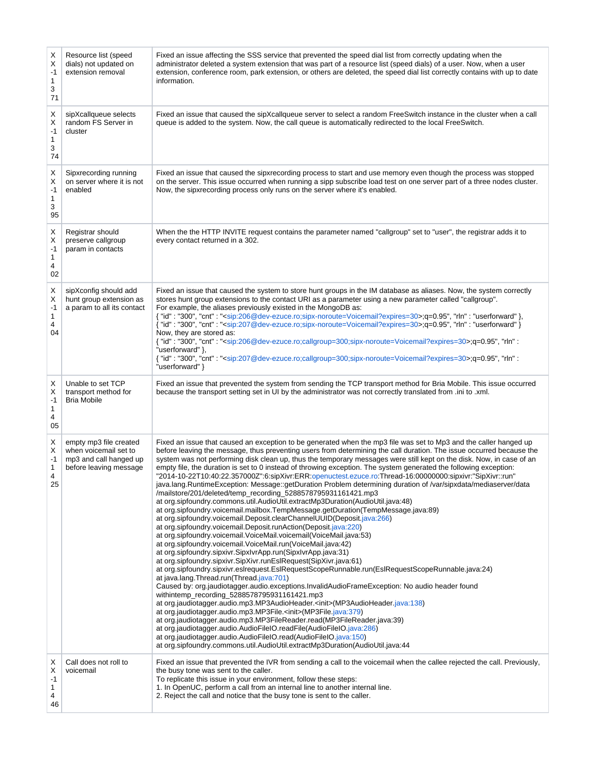| Χ<br>Χ<br>$-1$<br>1<br>3<br>71 | Resource list (speed<br>dials) not updated on<br>extension removal                                  | Fixed an issue affecting the SSS service that prevented the speed dial list from correctly updating when the<br>administrator deleted a system extension that was part of a resource list (speed dials) of a user. Now, when a user<br>extension, conference room, park extension, or others are deleted, the speed dial list correctly contains with up to date<br>information.                                                                                                                                                                                                                                                                                                                                                                                                                                                                                                                                                                                                                                                                                                                                                                                                                                                                                                                                                                                                                                                                                                                                                                                                                                                                                                                                                                                                                                                                                                                                                                                                                                                                                                                                                                                      |
|--------------------------------|-----------------------------------------------------------------------------------------------------|-----------------------------------------------------------------------------------------------------------------------------------------------------------------------------------------------------------------------------------------------------------------------------------------------------------------------------------------------------------------------------------------------------------------------------------------------------------------------------------------------------------------------------------------------------------------------------------------------------------------------------------------------------------------------------------------------------------------------------------------------------------------------------------------------------------------------------------------------------------------------------------------------------------------------------------------------------------------------------------------------------------------------------------------------------------------------------------------------------------------------------------------------------------------------------------------------------------------------------------------------------------------------------------------------------------------------------------------------------------------------------------------------------------------------------------------------------------------------------------------------------------------------------------------------------------------------------------------------------------------------------------------------------------------------------------------------------------------------------------------------------------------------------------------------------------------------------------------------------------------------------------------------------------------------------------------------------------------------------------------------------------------------------------------------------------------------------------------------------------------------------------------------------------------------|
| х<br>X<br>$-1$<br>1<br>3<br>74 | sipXcallqueue selects<br>random FS Server in<br>cluster                                             | Fixed an issue that caused the sipXcallqueue server to select a random FreeSwitch instance in the cluster when a call<br>queue is added to the system. Now, the call queue is automatically redirected to the local FreeSwitch.                                                                                                                                                                                                                                                                                                                                                                                                                                                                                                                                                                                                                                                                                                                                                                                                                                                                                                                                                                                                                                                                                                                                                                                                                                                                                                                                                                                                                                                                                                                                                                                                                                                                                                                                                                                                                                                                                                                                       |
| х<br>Х<br>$-1$<br>1<br>3<br>95 | Sipxrecording running<br>on server where it is not<br>enabled                                       | Fixed an issue that caused the sipxrecording process to start and use memory even though the process was stopped<br>on the server. This issue occurred when running a sipp subscribe load test on one server part of a three nodes cluster.<br>Now, the sipxrecording process only runs on the server where it's enabled.                                                                                                                                                                                                                                                                                                                                                                                                                                                                                                                                                                                                                                                                                                                                                                                                                                                                                                                                                                                                                                                                                                                                                                                                                                                                                                                                                                                                                                                                                                                                                                                                                                                                                                                                                                                                                                             |
| Х<br>X<br>$-1$<br>1<br>4<br>02 | Registrar should<br>preserve callgroup<br>param in contacts                                         | When the the HTTP INVITE request contains the parameter named "callgroup" set to "user", the registrar adds it to<br>every contact returned in a 302.                                                                                                                                                                                                                                                                                                                                                                                                                                                                                                                                                                                                                                                                                                                                                                                                                                                                                                                                                                                                                                                                                                                                                                                                                                                                                                                                                                                                                                                                                                                                                                                                                                                                                                                                                                                                                                                                                                                                                                                                                 |
| X<br>X<br>$-1$<br>1<br>4<br>04 | sipXconfig should add<br>hunt group extension as<br>a param to all its contact                      | Fixed an issue that caused the system to store hunt groups in the IM database as aliases. Now, the system correctly<br>stores hunt group extensions to the contact URI as a parameter using a new parameter called "callgroup".<br>For example, the aliases previously existed in the MongoDB as:<br>{ "id": "300", "cnt": " <sip:206@dev-ezuce.ro;sipx-noroute=voicemail?expires=30>;q=0.95", "rln": "userforward" },<br/>{ "id": "300", "cnt": "<sip:207@dev-ezuce.ro;sipx-noroute=voicemail?expires=30>;q=0.95", "rln": "userforward" }<br/>Now, they are stored as:<br/>{ "id": "300", "cnt": "<sip:206@dev-ezuce.ro;callgroup=300;sipx-noroute=voicemail?expires=30>;q=0.95", "rln":<br/>"userforward" },<br/>{ "id": "300", "cnt": "<sip:207@dev-ezuce.ro;callgroup=300;sipx-noroute=voicemail?expires=30>;q=0.95", "rln":<br/>"userforward" }</sip:207@dev-ezuce.ro;callgroup=300;sipx-noroute=voicemail?expires=30></sip:206@dev-ezuce.ro;callgroup=300;sipx-noroute=voicemail?expires=30></sip:207@dev-ezuce.ro;sipx-noroute=voicemail?expires=30></sip:206@dev-ezuce.ro;sipx-noroute=voicemail?expires=30>                                                                                                                                                                                                                                                                                                                                                                                                                                                                                                                                                                                                                                                                                                                                                                                                                                                                                                                                                                                                                                                  |
| х<br>X<br>$-1$<br>1<br>4<br>05 | Unable to set TCP<br>transport method for<br><b>Bria Mobile</b>                                     | Fixed an issue that prevented the system from sending the TCP transport method for Bria Mobile. This issue occurred<br>because the transport setting set in UI by the administrator was not correctly translated from .ini to .xml.                                                                                                                                                                                                                                                                                                                                                                                                                                                                                                                                                                                                                                                                                                                                                                                                                                                                                                                                                                                                                                                                                                                                                                                                                                                                                                                                                                                                                                                                                                                                                                                                                                                                                                                                                                                                                                                                                                                                   |
| Х<br>X<br>$-1$<br>1<br>4<br>25 | empty mp3 file created<br>when voicemail set to<br>mp3 and call hanged up<br>before leaving message | Fixed an issue that caused an exception to be generated when the mp3 file was set to Mp3 and the caller hanged up<br>before leaving the message, thus preventing users from determining the call duration. The issue occurred because the<br>system was not performing disk clean up, thus the temporary messages were still kept on the disk. Now, in case of an<br>empty file, the duration is set to 0 instead of throwing exception. The system generated the following exception:<br>"2014-10-22T10:40:22.357000Z":6:sipXivr:ERR:openuctest.ezuce.ro:Thread-16:00000000:sipxivr:"SipXivr::run"<br>java.lang.RuntimeException: Message::getDuration Problem determining duration of /var/sipxdata/mediaserver/data<br>/mailstore/201/deleted/temp_recording_5288578795931161421.mp3<br>at org.sipfoundry.commons.util.AudioUtil.extractMp3Duration(AudioUtil.java:48)<br>at org.sipfoundry.voicemail.mailbox.TempMessage.getDuration(TempMessage.java:89)<br>at org.sipfoundry.voicemail.Deposit.clearChannelUUID(Deposit.java:266)<br>at org.sipfoundry.voicemail.Deposit.runAction(Deposit.java:220)<br>at org.sipfoundry.voicemail.VoiceMail.voicemail(VoiceMail.java:53)<br>at org.sipfoundry.voicemail.VoiceMail.run(VoiceMail.java:42)<br>at org.sipfoundry.sipxivr.SipxIvrApp.run(SipxIvrApp.java:31)<br>at org.sipfoundry.sipxivr.SipXivr.runEslRequest(SipXivr.java:61)<br>at org.sipfoundry.sipxivr.esIrequest.EsIRequestScopeRunnable.run(EsIRequestScopeRunnable.java:24)<br>at java.lang.Thread.run(Thread.java:701)<br>Caused by: org.jaudiotagger.audio.exceptions.InvalidAudioFrameException: No audio header found<br>withintemp_recording_5288578795931161421.mp3<br>at org.jaudiotagger.audio.mp3.MP3AudioHeader. <init>(MP3AudioHeader.java:138)<br/>at org.jaudiotagger.audio.mp3.MP3File.<init>(MP3File.java:379)<br/>at org.jaudiotagger.audio.mp3.MP3FileReader.read(MP3FileReader.java:39)<br/>at org.jaudiotagger.audio.AudioFileIO.readFile(AudioFileIO.java:286)<br/>at org.jaudiotagger.audio.AudioFileIO.read(AudioFileIO.java:150)<br/>at org.sipfoundry.commons.util.AudioUtil.extractMp3Duration(AudioUtil.java:44</init></init> |
| х<br>Х<br>-1<br>1<br>4<br>46   | Call does not roll to<br>voicemail                                                                  | Fixed an issue that prevented the IVR from sending a call to the voicemail when the callee rejected the call. Previously,<br>the busy tone was sent to the caller.<br>To replicate this issue in your environment, follow these steps:<br>1. In OpenUC, perform a call from an internal line to another internal line.<br>2. Reject the call and notice that the busy tone is sent to the caller.                                                                                                                                                                                                                                                                                                                                                                                                                                                                                                                                                                                                                                                                                                                                                                                                                                                                                                                                                                                                                                                                                                                                                                                                                                                                                                                                                                                                                                                                                                                                                                                                                                                                                                                                                                     |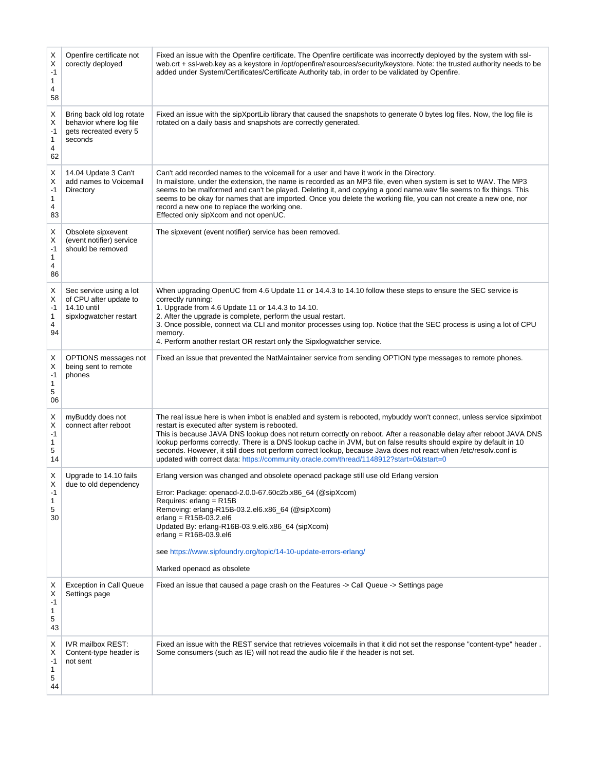| Х<br>Χ<br>$-1$<br>1<br>4<br>58 | Openfire certificate not<br>corectly deployed                                              | Fixed an issue with the Openfire certificate. The Openfire certificate was incorrectly deployed by the system with ssl-<br>web.crt + ssl-web.key as a keystore in /opt/openfire/resources/security/keystore. Note: the trusted authority needs to be<br>added under System/Certificates/Certificate Authority tab, in order to be validated by Openfire.                                                                                                                                                                                                                                                                          |
|--------------------------------|--------------------------------------------------------------------------------------------|-----------------------------------------------------------------------------------------------------------------------------------------------------------------------------------------------------------------------------------------------------------------------------------------------------------------------------------------------------------------------------------------------------------------------------------------------------------------------------------------------------------------------------------------------------------------------------------------------------------------------------------|
| X<br>X<br>$-1$<br>1<br>4<br>62 | Bring back old log rotate<br>behavior where log file<br>gets recreated every 5<br>seconds  | Fixed an issue with the sipXportLib library that caused the snapshots to generate 0 bytes log files. Now, the log file is<br>rotated on a daily basis and snapshots are correctly generated.                                                                                                                                                                                                                                                                                                                                                                                                                                      |
| Χ<br>X<br>$-1$<br>1<br>4<br>83 | 14.04 Update 3 Can't<br>add names to Voicemail<br>Directory                                | Can't add recorded names to the voicemail for a user and have it work in the Directory.<br>In mailstore, under the extension, the name is recorded as an MP3 file, even when system is set to WAV. The MP3<br>seems to be malformed and can't be played. Deleting it, and copying a good name wav file seems to fix things. This<br>seems to be okay for names that are imported. Once you delete the working file, you can not create a new one, nor<br>record a new one to replace the working one.<br>Effected only sipXcom and not openUC.                                                                                    |
| X<br>Х<br>$-1$<br>1<br>4<br>86 | Obsolete sipxevent<br>(event notifier) service<br>should be removed                        | The sipxevent (event notifier) service has been removed.                                                                                                                                                                                                                                                                                                                                                                                                                                                                                                                                                                          |
| Х<br>Х<br>$-1$<br>1<br>4<br>94 | Sec service using a lot<br>of CPU after update to<br>14.10 until<br>sipxlogwatcher restart | When upgrading OpenUC from 4.6 Update 11 or 14.4.3 to 14.10 follow these steps to ensure the SEC service is<br>correctly running:<br>1. Upgrade from 4.6 Update 11 or 14.4.3 to 14.10.<br>2. After the upgrade is complete, perform the usual restart.<br>3. Once possible, connect via CLI and monitor processes using top. Notice that the SEC process is using a lot of CPU<br>memory.<br>4. Perform another restart OR restart only the Sipxlogwatcher service.                                                                                                                                                               |
| х<br>X<br>$-1$<br>1<br>5<br>06 | OPTIONS messages not<br>being sent to remote<br>phones                                     | Fixed an issue that prevented the NatMaintainer service from sending OPTION type messages to remote phones.                                                                                                                                                                                                                                                                                                                                                                                                                                                                                                                       |
| Χ<br>X<br>$-1$<br>1<br>5<br>14 | myBuddy does not<br>connect after reboot                                                   | The real issue here is when imbot is enabled and system is rebooted, mybuddy won't connect, unless service sipximbot<br>restart is executed after system is rebooted.<br>This is because JAVA DNS lookup does not return correctly on reboot. After a reasonable delay after reboot JAVA DNS<br>lookup performs correctly. There is a DNS lookup cache in JVM, but on false results should expire by default in 10<br>seconds. However, it still does not perform correct lookup, because Java does not react when /etc/resolv.conf is<br>updated with correct data: https://community.oracle.com/thread/1148912?start=0&tstart=0 |
| X<br>Х<br>-1<br>1<br>5<br>30   | Upgrade to 14.10 fails<br>due to old dependency                                            | Erlang version was changed and obsolete openacd package still use old Erlang version<br>Error: Package: openacd-2.0.0-67.60c2b.x86_64 (@sipXcom)<br>Requires: erlang = R15B<br>Removing: erlang-R15B-03.2.el6.x86_64 (@sipXcom)<br>erlang = $R15B-03.2$ .el6<br>Updated By: erlang-R16B-03.9.el6.x86_64 (sipXcom)<br>$erlang = R16B-03.9.el6$<br>see https://www.sipfoundry.org/topic/14-10-update-errors-erlang/<br>Marked openacd as obsolete                                                                                                                                                                                   |
| х<br>Х<br>-1<br>1<br>5<br>43   | <b>Exception in Call Queue</b><br>Settings page                                            | Fixed an issue that caused a page crash on the Features -> Call Queue -> Settings page                                                                                                                                                                                                                                                                                                                                                                                                                                                                                                                                            |
| X<br>Х<br>-1<br>1<br>5<br>44   | IVR mailbox REST:<br>Content-type header is<br>not sent                                    | Fixed an issue with the REST service that retrieves voicemails in that it did not set the response "content-type" header.<br>Some consumers (such as IE) will not read the audio file if the header is not set.                                                                                                                                                                                                                                                                                                                                                                                                                   |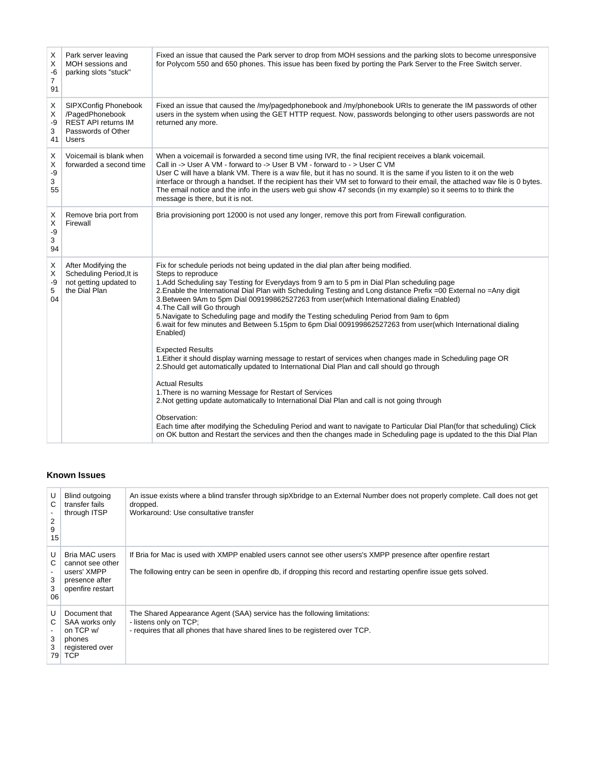| Х<br>X<br>-6<br>$\overline{7}$<br>91 | Park server leaving<br>MOH sessions and<br>parking slots "stuck"                                            | Fixed an issue that caused the Park server to drop from MOH sessions and the parking slots to become unresponsive<br>for Polycom 550 and 650 phones. This issue has been fixed by porting the Park Server to the Free Switch server.                                                                                                                                                                                                                                                                                                                                                                                                                                                                                                                                                                                                                                                                                                                                                                                                                                                                                                                                                                                                                                                                                                                                    |
|--------------------------------------|-------------------------------------------------------------------------------------------------------------|-------------------------------------------------------------------------------------------------------------------------------------------------------------------------------------------------------------------------------------------------------------------------------------------------------------------------------------------------------------------------------------------------------------------------------------------------------------------------------------------------------------------------------------------------------------------------------------------------------------------------------------------------------------------------------------------------------------------------------------------------------------------------------------------------------------------------------------------------------------------------------------------------------------------------------------------------------------------------------------------------------------------------------------------------------------------------------------------------------------------------------------------------------------------------------------------------------------------------------------------------------------------------------------------------------------------------------------------------------------------------|
| Χ<br>X<br>-9<br>3<br>41              | <b>SIPXConfig Phonebook</b><br>/PagedPhonebook<br><b>REST API returns IM</b><br>Passwords of Other<br>Users | Fixed an issue that caused the /my/pagedphonebook and /my/phonebook URIs to generate the IM passwords of other<br>users in the system when using the GET HTTP request. Now, passwords belonging to other users passwords are not<br>returned any more.                                                                                                                                                                                                                                                                                                                                                                                                                                                                                                                                                                                                                                                                                                                                                                                                                                                                                                                                                                                                                                                                                                                  |
| Χ<br>X<br>-9<br>3<br>55              | Voicemail is blank when<br>forwarded a second time                                                          | When a voicemail is forwarded a second time using IVR, the final recipient receives a blank voicemail.<br>Call in -> User A VM - forward to -> User B VM - forward to - > User C VM<br>User C will have a blank VM. There is a wav file, but it has no sound. It is the same if you listen to it on the web<br>interface or through a handset. If the recipient has their VM set to forward to their email, the attached way file is 0 bytes.<br>The email notice and the info in the users web gui show 47 seconds (in my example) so it seems to to think the<br>message is there, but it is not.                                                                                                                                                                                                                                                                                                                                                                                                                                                                                                                                                                                                                                                                                                                                                                     |
| Х<br>X<br>-9<br>3<br>94              | Remove bria port from<br>Firewall                                                                           | Bria provisioning port 12000 is not used any longer, remove this port from Firewall configuration.                                                                                                                                                                                                                                                                                                                                                                                                                                                                                                                                                                                                                                                                                                                                                                                                                                                                                                                                                                                                                                                                                                                                                                                                                                                                      |
| Χ<br>X<br>-9<br>5<br>04              | After Modifying the<br>Scheduling Period, It is<br>not getting updated to<br>the Dial Plan                  | Fix for schedule periods not being updated in the dial plan after being modified.<br>Steps to reproduce<br>1. Add Scheduling say Testing for Everydays from 9 am to 5 pm in Dial Plan scheduling page<br>2. Enable the International Dial Plan with Scheduling Testing and Long distance Prefix =00 External no =Any digit<br>3. Between 9Am to 5pm Dial 009199862527263 from user(which International dialing Enabled)<br>4. The Call will Go through<br>5. Navigate to Scheduling page and modify the Testing scheduling Period from 9am to 6pm<br>6 wait for few minutes and Between 5.15pm to 6pm Dial 009199862527263 from user(which International dialing<br>Enabled)<br><b>Expected Results</b><br>1. Either it should display warning message to restart of services when changes made in Scheduling page OR<br>2. Should get automatically updated to International Dial Plan and call should go through<br><b>Actual Results</b><br>1. There is no warning Message for Restart of Services<br>2. Not getting update automatically to International Dial Plan and call is not going through<br>Observation:<br>Each time after modifying the Scheduling Period and want to navigate to Particular Dial Plan(for that scheduling) Click<br>on OK button and Restart the services and then the changes made in Scheduling page is updated to the this Dial Plan |

# <span id="page-19-0"></span>**Known Issues**

| U<br>C<br>2<br>9<br>15  | Blind outgoing<br>transfer fails<br>through ITSP                                               | An issue exists where a blind transfer through sipXbridge to an External Number does not properly complete. Call does not get<br>dropped.<br>Workaround: Use consultative transfer                                                  |
|-------------------------|------------------------------------------------------------------------------------------------|-------------------------------------------------------------------------------------------------------------------------------------------------------------------------------------------------------------------------------------|
| U<br>C.<br>3<br>3<br>06 | <b>Bria MAC users</b><br>cannot see other<br>users' XMPP<br>presence after<br>openfire restart | If Bria for Mac is used with XMPP enabled users cannot see other users's XMPP presence after openfire restart<br>The following entry can be seen in openfire db, if dropping this record and restarting openfire issue gets solved. |
| U<br>C.<br>3<br>3<br>79 | Document that<br>SAA works only<br>on TCP w/<br>phones<br>registered over<br><b>TCP</b>        | The Shared Appearance Agent (SAA) service has the following limitations:<br>- listens only on TCP;<br>- requires that all phones that have shared lines to be registered over TCP.                                                  |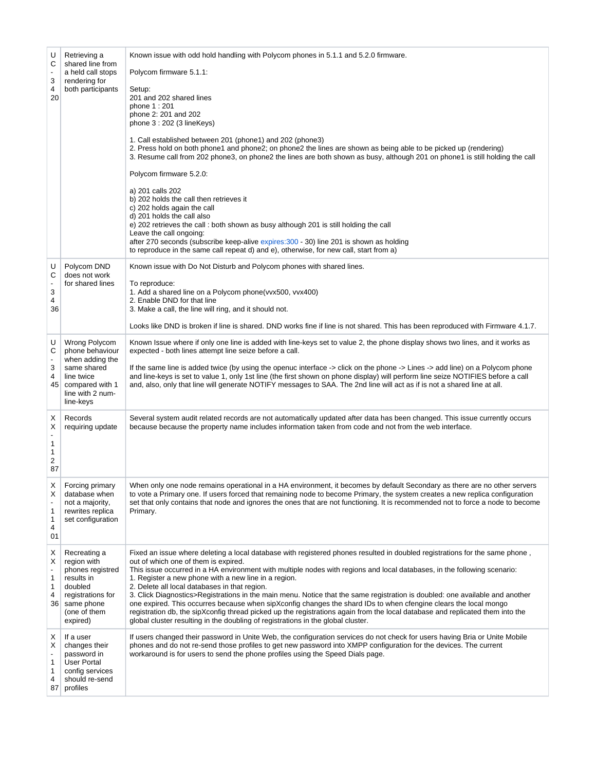| U<br>C<br>$\overline{\phantom{a}}$<br>3<br>4<br>20      | Retrieving a<br>shared line from<br>a held call stops<br>rendering for<br>both participants                                             | Known issue with odd hold handling with Polycom phones in 5.1.1 and 5.2.0 firmware.<br>Polycom firmware 5.1.1:<br>Setup:<br>201 and 202 shared lines<br>phone 1:201<br>phone 2: 201 and 202<br>phone $3:202$ (3 lineKeys)<br>1. Call established between 201 (phone1) and 202 (phone3)<br>2. Press hold on both phone1 and phone2; on phone2 the lines are shown as being able to be picked up (rendering)<br>3. Resume call from 202 phone3, on phone2 the lines are both shown as busy, although 201 on phone1 is still holding the call<br>Polycom firmware 5.2.0:<br>a) 201 calls 202<br>b) 202 holds the call then retrieves it<br>c) 202 holds again the call<br>d) 201 holds the call also<br>e) 202 retrieves the call : both shown as busy although 201 is still holding the call<br>Leave the call ongoing:<br>after 270 seconds (subscribe keep-alive expires: 300 - 30) line 201 is shown as holding<br>to reproduce in the same call repeat d) and e), otherwise, for new call, start from a) |
|---------------------------------------------------------|-----------------------------------------------------------------------------------------------------------------------------------------|------------------------------------------------------------------------------------------------------------------------------------------------------------------------------------------------------------------------------------------------------------------------------------------------------------------------------------------------------------------------------------------------------------------------------------------------------------------------------------------------------------------------------------------------------------------------------------------------------------------------------------------------------------------------------------------------------------------------------------------------------------------------------------------------------------------------------------------------------------------------------------------------------------------------------------------------------------------------------------------------------------|
| U<br>C<br>$\overline{\phantom{a}}$<br>3<br>4<br>36      | Polycom DND<br>does not work<br>for shared lines                                                                                        | Known issue with Do Not Disturb and Polycom phones with shared lines.<br>To reproduce:<br>1. Add a shared line on a Polycom phone(vvx500, vvx400)<br>2. Enable DND for that line<br>3. Make a call, the line will ring, and it should not.<br>Looks like DND is broken if line is shared. DND works fine if line is not shared. This has been reproduced with Firmware 4.1.7.                                                                                                                                                                                                                                                                                                                                                                                                                                                                                                                                                                                                                              |
| U<br>С<br>$\overline{\phantom{a}}$<br>3<br>4<br>45      | Wrong Polycom<br>phone behaviour<br>when adding the<br>same shared<br>line twice<br>compared with 1<br>line with 2 num-<br>line-keys    | Known Issue where if only one line is added with line-keys set to value 2, the phone display shows two lines, and it works as<br>expected - both lines attempt line seize before a call.<br>If the same line is added twice (by using the openuc interface -> click on the phone -> Lines -> add line) on a Polycom phone<br>and line-keys is set to value 1, only 1st line (the first shown on phone display) will perform line seize NOTIFIES before a call<br>and, also, only that line will generate NOTIFY messages to SAA. The 2nd line will act as if is not a shared line at all.                                                                                                                                                                                                                                                                                                                                                                                                                  |
| х<br>X<br>$\overline{\phantom{a}}$<br>1<br>1<br>2<br>87 | Records<br>requiring update                                                                                                             | Several system audit related records are not automatically updated after data has been changed. This issue currently occurs<br>because because the property name includes information taken from code and not from the web interface.                                                                                                                                                                                                                                                                                                                                                                                                                                                                                                                                                                                                                                                                                                                                                                      |
| Х<br>х<br>1<br>1<br>4<br>01                             | Forcing primary<br>database when<br>not a majority,<br>rewrites replica<br>set configuration                                            | When only one node remains operational in a HA environment, it becomes by default Secondary as there are no other servers<br>to vote a Primary one. If users forced that remaining node to become Primary, the system creates a new replica configuration<br>set that only contains that node and ignores the ones that are not functioning. It is recommended not to force a node to become<br>Primary.                                                                                                                                                                                                                                                                                                                                                                                                                                                                                                                                                                                                   |
| X<br>X<br>1<br>1<br>4<br>36                             | Recreating a<br>region with<br>phones registred<br>results in<br>doubled<br>registrations for<br>same phone<br>(one of them<br>expired) | Fixed an issue where deleting a local database with registered phones resulted in doubled registrations for the same phone,<br>out of which one of them is expired.<br>This issue occurred in a HA environment with multiple nodes with regions and local databases, in the following scenario:<br>1. Register a new phone with a new line in a region.<br>2. Delete all local databases in that region.<br>3. Click Diagnostics>Registrations in the main menu. Notice that the same registration is doubled: one available and another<br>one expired. This occurres because when sipXconfig changes the shard IDs to when cfengine clears the local mongo<br>registration db, the sipXconfig thread picked up the registrations again from the local database and replicated them into the<br>global cluster resulting in the doubling of registrations in the global cluster.                                                                                                                          |
| х<br>Х<br>1<br>1<br>4<br>87                             | If a user<br>changes their<br>password in<br><b>User Portal</b><br>config services<br>should re-send<br>profiles                        | If users changed their password in Unite Web, the configuration services do not check for users having Bria or Unite Mobile<br>phones and do not re-send those profiles to get new password into XMPP configuration for the devices. The current<br>workaround is for users to send the phone profiles using the Speed Dials page.                                                                                                                                                                                                                                                                                                                                                                                                                                                                                                                                                                                                                                                                         |